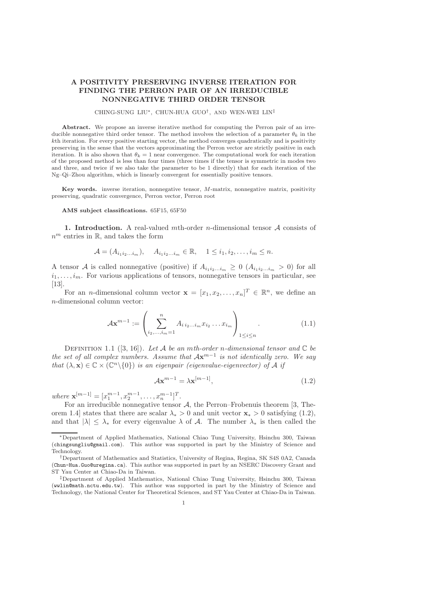## A POSITIVITY PRESERVING INVERSE ITERATION FOR FINDING THE PERRON PAIR OF AN IRREDUCIBLE NONNEGATIVE THIRD ORDER TENSOR

## CHING-SUNG LIU<sup>∗</sup> , CHUN-HUA GUO† , AND WEN-WEI LIN‡

Abstract. We propose an inverse iterative method for computing the Perron pair of an irreducible nonnegative third order tensor. The method involves the selection of a parameter  $\theta_k$  in the kth iteration. For every positive starting vector, the method converges quadratically and is positivity preserving in the sense that the vectors approximating the Perron vector are strictly positive in each iteration. It is also shown that  $\theta_k = 1$  near convergence. The computational work for each iteration of the proposed method is less than four times (three times if the tensor is symmetric in modes two and three, and twice if we also take the parameter to be 1 directly) that for each iteration of the Ng–Qi–Zhou algorithm, which is linearly convergent for essentially positive tensors.

Key words. inverse iteration, nonnegative tensor, M-matrix, nonnegative matrix, positivity preserving, quadratic convergence, Perron vector, Perron root

## AMS subject classifications. 65F15, 65F50

1. Introduction. A real-valued mth-order *n*-dimensional tensor  $A$  consists of  $n^m$  entries in  $\mathbb{R}$ , and takes the form

$$
\mathcal{A} = (A_{i_1 i_2 \dots i_m}), \quad A_{i_1 i_2 \dots i_m} \in \mathbb{R}, \quad 1 \leq i_1, i_2, \dots, i_m \leq n.
$$

A tensor A is called nonnegative (positive) if  $A_{i_1 i_2...i_m} \geq 0$   $(A_{i_1 i_2...i_m} > 0)$  for all  $i_1, \ldots, i_m$ . For various applications of tensors, nonnegative tensors in particular, see [13].

For an *n*-dimensional column vector  $\mathbf{x} = [x_1, x_2, \dots, x_n]^T \in \mathbb{R}^n$ , we define an n-dimensional column vector:

$$
\mathcal{A}\mathbf{x}^{m-1} := \left(\sum_{i_2,\dots,i_m=1}^n A_{i\,i_2\dots i_m} x_{i_2}\dots x_{i_m}\right)_{1\leq i\leq n}.\tag{1.1}
$$

DEFINITION 1.1 ([3, 16]). Let A be an mth-order n-dimensional tensor and  $\mathbb C$  be the set of all complex numbers. Assume that  $A\mathbf{x}^{m-1}$  is not identically zero. We say that  $(\lambda, \mathbf{x}) \in \mathbb{C} \times (\mathbb{C}^n \setminus \{0\})$  is an eigenpair (eigenvalue-eigenvector) of A if

$$
\mathcal{A}\mathbf{x}^{m-1} = \lambda \mathbf{x}^{[m-1]},\tag{1.2}
$$

where  $\mathbf{x}^{[m-1]} = [x_1^{m-1}, x_2^{m-1}, \dots, x_n^{m-1}]^T$ .

For an irreducible nonnegative tensor  $A$ , the Perron–Frobenuis theorem [3, Theorem 1.4] states that there are scalar  $\lambda_* > 0$  and unit vector  $\mathbf{x}_* > 0$  satisfying (1.2), and that  $|\lambda| \leq \lambda_*$  for every eigenvalue  $\lambda$  of A. The number  $\lambda_*$  is then called the

<sup>∗</sup>Department of Applied Mathematics, National Chiao Tung University, Hsinchu 300, Taiwan (chingsungliu@gmail.com). This author was supported in part by the Ministry of Science and Technology.

<sup>†</sup>Department of Mathematics and Statistics, University of Regina, Regina, SK S4S 0A2, Canada (Chun-Hua.Guo@uregina.ca). This author was supported in part by an NSERC Discovery Grant and ST Yau Center at Chiao-Da in Taiwan.

<sup>‡</sup>Department of Applied Mathematics, National Chiao Tung University, Hsinchu 300, Taiwan (wwlin@math.nctu.edu.tw). This author was supported in part by the Ministry of Science and Technology, the National Center for Theoretical Sciences, and ST Yau Center at Chiao-Da in Taiwan.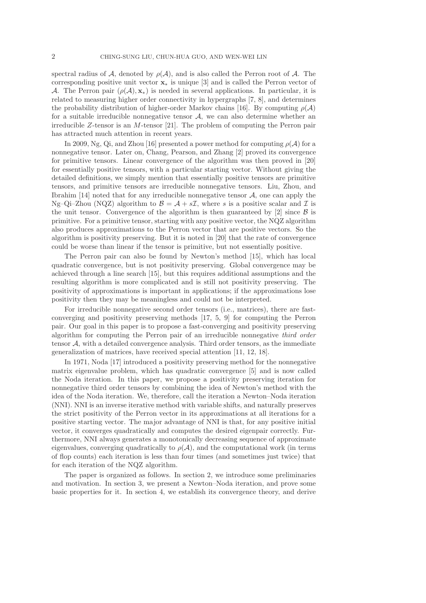spectral radius of A, denoted by  $\rho(\mathcal{A})$ , and is also called the Perron root of A. The corresponding positive unit vector x<sup>∗</sup> is unique [3] and is called the Perron vector of A. The Perron pair  $(\rho(\mathcal{A}), \mathbf{x}_*)$  is needed in several applications. In particular, it is related to measuring higher order connectivity in hypergraphs [7, 8], and determines the probability distribution of higher-order Markov chains [16]. By computing  $\rho(\mathcal{A})$ for a suitable irreducible nonnegative tensor  $A$ , we can also determine whether an irreducible  $Z$ -tensor is an  $M$ -tensor [21]. The problem of computing the Perron pair has attracted much attention in recent years.

In 2009, Ng, Qi, and Zhou [16] presented a power method for computing  $\rho(\mathcal{A})$  for a nonnegative tensor. Later on, Chang, Pearson, and Zhang [2] proved its convergence for primitive tensors. Linear convergence of the algorithm was then proved in [20] for essentially positive tensors, with a particular starting vector. Without giving the detailed definitions, we simply mention that essentially positive tensors are primitive tensors, and primitive tensors are irreducible nonnegative tensors. Liu, Zhou, and Ibrahim  $[14]$  noted that for any irreducible nonnegative tensor  $A$ , one can apply the Ng–Qi–Zhou (NQZ) algorithm to  $\mathcal{B} = \mathcal{A} + s\mathcal{I}$ , where s is a positive scalar and  $\mathcal{I}$  is the unit tensor. Convergence of the algorithm is then guaranteed by [2] since  $\beta$  is primitive. For a primitive tensor, starting with any positive vector, the NQZ algorithm also produces approximations to the Perron vector that are positive vectors. So the algorithm is positivity preserving. But it is noted in [20] that the rate of convergence could be worse than linear if the tensor is primitive, but not essentially positive.

The Perron pair can also be found by Newton's method [15], which has local quadratic convergence, but is not positivity preserving. Global convergence may be achieved through a line search [15], but this requires additional assumptions and the resulting algorithm is more complicated and is still not positivity preserving. The positivity of approximations is important in applications; if the approximations lose positivity then they may be meaningless and could not be interpreted.

For irreducible nonnegative second order tensors (i.e., matrices), there are fastconverging and positivity preserving methods [17, 5, 9] for computing the Perron pair. Our goal in this paper is to propose a fast-converging and positivity preserving algorithm for computing the Perron pair of an irreducible nonnegative third order tensor  $A$ , with a detailed convergence analysis. Third order tensors, as the immediate generalization of matrices, have received special attention [11, 12, 18].

In 1971, Noda [17] introduced a positivity preserving method for the nonnegative matrix eigenvalue problem, which has quadratic convergence [5] and is now called the Noda iteration. In this paper, we propose a positivity preserving iteration for nonnegative third order tensors by combining the idea of Newton's method with the idea of the Noda iteration. We, therefore, call the iteration a Newton–Noda iteration (NNI). NNI is an inverse iterative method with variable shifts, and naturally preserves the strict positivity of the Perron vector in its approximations at all iterations for a positive starting vector. The major advantage of NNI is that, for any positive initial vector, it converges quadratically and computes the desired eigenpair correctly. Furthermore, NNI always generates a monotonically decreasing sequence of approximate eigenvalues, converging quadratically to  $\rho(\mathcal{A})$ , and the computational work (in terms of flop counts) each iteration is less than four times (and sometimes just twice) that for each iteration of the NQZ algorithm.

The paper is organized as follows. In section 2, we introduce some preliminaries and motivation. In section 3, we present a Newton–Noda iteration, and prove some basic properties for it. In section 4, we establish its convergence theory, and derive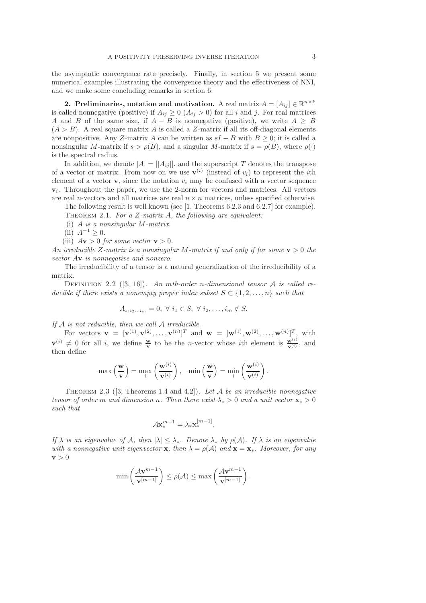the asymptotic convergence rate precisely. Finally, in section 5 we present some numerical examples illustrating the convergence theory and the effectiveness of NNI, and we make some concluding remarks in section 6.

2. Preliminaries, notation and motivation. A real matrix  $A = [A_{ij}] \in \mathbb{R}^{n \times k}$ is called nonnegative (positive) if  $A_{ij} \geq 0$   $(A_{ij} > 0)$  for all i and j. For real matrices A and B of the same size, if  $A - B$  is nonnegative (positive), we write  $A \geq B$  $(A > B)$ . A real square matrix A is called a Z-matrix if all its off-diagonal elements are nonpositive. Any Z-matrix A can be written as  $sI - B$  with  $B \geq 0$ ; it is called a nonsingular M-matrix if  $s > \rho(B)$ , and a singular M-matrix if  $s = \rho(B)$ , where  $\rho(\cdot)$ is the spectral radius.

In addition, we denote  $|A| = |A_{ij}|$ , and the superscript T denotes the transpose of a vector or matrix. From now on we use  $\mathbf{v}^{(i)}$  (instead of  $v_i$ ) to represent the *i*th element of a vector  $\mathbf{v}$ , since the notation  $v_i$  may be confused with a vector sequence  $v_i$ . Throughout the paper, we use the 2-norm for vectors and matrices. All vectors are real *n*-vectors and all matrices are real  $n \times n$  matrices, unless specified otherwise.

The following result is well known (see [1, Theorems 6.2.3 and 6.2.7] for example). THEOREM 2.1. For a  $Z$ -matrix  $A$ , the following are equivalent:

(i) A is a nonsingular M-matrix.

(ii)  $A^{-1} > 0$ .

(iii)  $A\mathbf{v} > 0$  for some vector  $\mathbf{v} > 0$ .

An irreducible Z-matrix is a nonsingular M-matrix if and only if for some  $y > 0$  the vector Av is nonnegative and nonzero.

The irreducibility of a tensor is a natural generalization of the irreducibility of a matrix.

DEFINITION 2.2 ([3, 16]). An mth-order n-dimensional tensor A is called reducible if there exists a nonempty proper index subset  $S \subset \{1, 2, \ldots, n\}$  such that

$$
A_{i_1i_2...i_m}=0, \ \forall \ i_1 \in S, \ \forall \ i_2,...,i_m \notin S.
$$

If  $A$  is not reducible, then we call  $A$  irreducible.

For vectors  $\mathbf{v} = [\mathbf{v}^{(1)}, \mathbf{v}^{(2)}, \dots, \mathbf{v}^{(n)}]^T$  and  $\mathbf{w} = [\mathbf{w}^{(1)}, \mathbf{w}^{(2)}, \dots, \mathbf{w}^{(n)}]^T$ , with  $\mathbf{v}^{(i)} \neq 0$  for all i, we define  $\frac{\mathbf{w}}{\mathbf{v}}$  to be the *n*-vector whose ith element is  $\frac{\mathbf{w}^{(i)}}{\mathbf{v}^{(i)}}$ , and then define

$$
\max\left(\frac{\mathbf{w}}{\mathbf{v}}\right) = \max_{i} \left(\frac{\mathbf{w}^{(i)}}{\mathbf{v}^{(i)}}\right), \quad \min\left(\frac{\mathbf{w}}{\mathbf{v}}\right) = \min_{i} \left(\frac{\mathbf{w}^{(i)}}{\mathbf{v}^{(i)}}\right).
$$

THEOREM 2.3 ([3, Theorems 1.4 and 4.2]). Let A be an irreducible nonnegative tensor of order m and dimension n. Then there exist  $\lambda_* > 0$  and a unit vector  $\mathbf{x}_* > 0$ such that

$$
\mathcal{A}\mathbf{x}_{*}^{m-1}=\lambda_{*}\mathbf{x}_{*}^{[m-1]}.
$$

If  $\lambda$  is an eigenvalue of A, then  $|\lambda| \leq \lambda_*$ . Denote  $\lambda_*$  by  $\rho(\mathcal{A})$ . If  $\lambda$  is an eigenvalue with a nonnegative unit eigenvector **x**, then  $\lambda = \rho(A)$  and  $\mathbf{x} = \mathbf{x}_*$ . Moreover, for any  $\mathbf{v} > 0$ 

$$
\min\left(\frac{\mathcal{A}\mathbf{v}^{m-1}}{\mathbf{v}^{[m-1]}}\right) \leq \rho(\mathcal{A}) \leq \max\left(\frac{\mathcal{A}\mathbf{v}^{m-1}}{\mathbf{v}^{[m-1]}}\right).
$$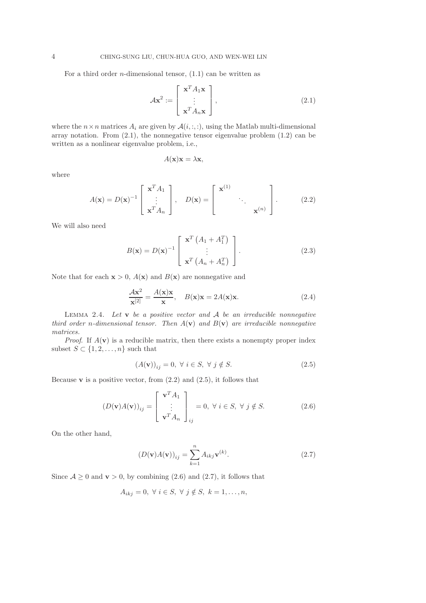For a third order *n*-dimensional tensor,  $(1.1)$  can be written as

$$
\mathcal{A}\mathbf{x}^2 := \begin{bmatrix} \mathbf{x}^T A_1 \mathbf{x} \\ \vdots \\ \mathbf{x}^T A_n \mathbf{x} \end{bmatrix},
$$
(2.1)

where the  $n \times n$  matrices  $A_i$  are given by  $A(i, :, :)$ , using the Matlab multi-dimensional array notation. From  $(2.1)$ , the nonnegative tensor eigenvalue problem  $(1.2)$  can be written as a nonlinear eigenvalue problem, i.e.,

$$
A(\mathbf{x})\mathbf{x} = \lambda \mathbf{x},
$$

where

$$
A(\mathbf{x}) = D(\mathbf{x})^{-1} \begin{bmatrix} \mathbf{x}^T A_1 \\ \vdots \\ \mathbf{x}^T A_n \end{bmatrix}, \quad D(\mathbf{x}) = \begin{bmatrix} \mathbf{x}^{(1)} \\ \cdot \\ \cdot \\ \cdot \\ \mathbf{x}^{(n)} \end{bmatrix}.
$$
 (2.2)

We will also need

$$
B(\mathbf{x}) = D(\mathbf{x})^{-1} \begin{bmatrix} \mathbf{x}^T \left( A_1 + A_1^T \right) \\ \vdots \\ \mathbf{x}^T \left( A_n + A_n^T \right) \end{bmatrix} . \tag{2.3}
$$

Note that for each  $x > 0$ ,  $A(x)$  and  $B(x)$  are nonnegative and

$$
\frac{\mathcal{A}\mathbf{x}^2}{\mathbf{x}^{[2]}} = \frac{A(\mathbf{x})\mathbf{x}}{\mathbf{x}}, \quad B(\mathbf{x})\mathbf{x} = 2A(\mathbf{x})\mathbf{x}.\tag{2.4}
$$

LEMMA 2.4. Let  $v$  be a positive vector and  $A$  be an irreducible nonnegative third order n-dimensional tensor. Then  $A(\mathbf{v})$  and  $B(\mathbf{v})$  are irreducible nonnegative matrices.

*Proof.* If  $A(\mathbf{v})$  is a reducible matrix, then there exists a nonempty proper index subset  $S \subset \{1, 2, \ldots, n\}$  such that

$$
(A(\mathbf{v}))_{ij} = 0, \ \forall \ i \in S, \ \forall \ j \notin S. \tag{2.5}
$$

Because **v** is a positive vector, from  $(2.2)$  and  $(2.5)$ , it follows that

$$
(D(\mathbf{v})A(\mathbf{v}))_{ij} = \begin{bmatrix} \mathbf{v}^T A_1 \\ \vdots \\ \mathbf{v}^T A_n \end{bmatrix}_{ij} = 0, \ \forall \ i \in S, \ \forall \ j \notin S. \tag{2.6}
$$

On the other hand,

$$
(D(\mathbf{v})A(\mathbf{v}))_{ij} = \sum_{k=1}^{n} A_{ikj} \mathbf{v}^{(k)}.
$$
 (2.7)

Since  $A \geq 0$  and  $v > 0$ , by combining (2.6) and (2.7), it follows that

$$
A_{ikj} = 0, \ \forall \ i \in S, \ \forall \ j \notin S, \ k = 1, \ldots, n,
$$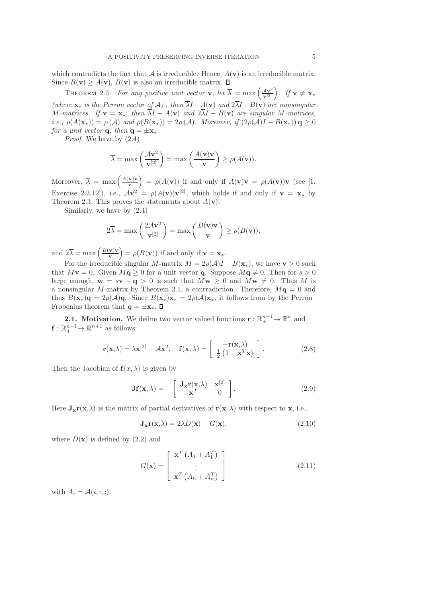which contradicts the fact that  $\mathcal A$  is irreducible. Hence,  $A(\mathbf v)$  is an irreducible matrix. Since  $B(\mathbf{v}) \ge A(\mathbf{v})$ ,  $B(\mathbf{v})$  is also an irreducible matrix.  $\Box$ 

THEOREM 2.5. For any positive unit vector **v**, let  $\overline{\lambda} = \max\left(\frac{A\mathbf{v}^2}{\mathbf{v}^{(2)}}\right)$ . If  $\mathbf{v} \neq \mathbf{x}_*$ (where  $\mathbf{x}_*$  is the Perron vector of A), then  $\overline{\lambda}I - A(\mathbf{v})$  and  $2\overline{\lambda}I - B(\mathbf{v})$  are nonsingular M-matrices. If  $\mathbf{v} = \mathbf{x}_*,$  then  $\overline{\lambda}I - A(\mathbf{v})$  and  $2\overline{\lambda}I - B(\mathbf{v})$  are singular M-matrices, i.e.,  $\rho(A(\mathbf{x}_{*})) = \rho(A)$  and  $\rho(B(\mathbf{x}_{*})) = 2\rho(A)$ . Moreover, if  $(2\rho(A)I - B(\mathbf{x}_{*}))$  q > 0 for a unit vector **q**, then  $\mathbf{q} = \pm \mathbf{x}$ .

Proof. We have by (2.4)

$$
\overline{\lambda} = \max\left(\frac{\mathcal{A} \mathbf{v}^2}{\mathbf{v}^{[2]}}\right) = \max\left(\frac{A(\mathbf{v})\mathbf{v}}{\mathbf{v}}\right) \ge \rho(A(\mathbf{v})).
$$

Moreover,  $\overline{\lambda} = \max \left( \frac{A(\mathbf{v})\mathbf{v}}{v} \right)$ v  $= \rho(A(\mathbf{v}))$  if and only if  $A(\mathbf{v})\mathbf{v} = \rho(A(\mathbf{v}))\mathbf{v}$  (see [1, Exercise 2.2.12]), i.e.,  $A\mathbf{v}^2 = \rho(A(\mathbf{v}))\mathbf{v}^{[2]}$ , which holds if and only if  $\mathbf{v} = \mathbf{x}_*$  by Theorem 2.3. This proves the statements about  $A(\mathbf{v})$ .

Similarly, we have by (2.4)

$$
2\overline{\lambda} = \max\left(\frac{2A\mathbf{v}^2}{\mathbf{v}^{[2]}}\right) = \max\left(\frac{B(\mathbf{v})\mathbf{v}}{\mathbf{v}}\right) \ge \rho(B(\mathbf{v})),
$$

and  $2\overline{\lambda} = \max\left(\frac{B(\mathbf{v})\mathbf{v}}{\mathbf{v}}\right)$ v  $= \rho(B(\mathbf{v}))$  if and only if  $\mathbf{v} = \mathbf{x}_{*}$ .

For the irreducible singular M-matrix  $M = 2\rho(\mathcal{A})I - B(\mathbf{x}_{*})$ , we have  $\mathbf{v} > 0$  such that  $Mv = 0$ . Given  $Mq \geq 0$  for a unit vector q. Suppose  $Mq \neq 0$ . Then for  $s > 0$ large enough,  $\mathbf{w} = s\mathbf{v} + \mathbf{q} > 0$  is such that  $M\mathbf{w} > 0$  and  $M\mathbf{w} \neq 0$ . Thus M is a nonsingular M-matrix by Theorem 2.1, a contradiction. Therefore,  $M\mathbf{q} = 0$  and thus  $B(\mathbf{x}_{*})\mathbf{q} = 2\rho(\mathcal{A})\mathbf{q}$ . Since  $B(\mathbf{x}_{*})\mathbf{x}_{*} = 2\rho(\mathcal{A})\mathbf{x}_{*}$ , it follows from by the Perron– Frobenius theorem that  $q = \pm x_*$ .  $\Box$ 

**2.1.** Motivation. We define two vector valued functions  $\mathbf{r} : \mathbb{R}^{n+1}_+ \to \mathbb{R}^n$  and  $\mathbf{f}: \mathbb{R}^{n+1}_+ \to \mathbb{R}^{n+1}$  as follows:

$$
\mathbf{r}(\mathbf{x}, \lambda) = \lambda \mathbf{x}^{[2]} - \mathcal{A}\mathbf{x}^2, \quad \mathbf{f}(\mathbf{x}, \lambda) = \begin{bmatrix} -\mathbf{r}(\mathbf{x}, \lambda) \\ \frac{1}{2} \left(1 - \mathbf{x}^T \mathbf{x}\right) \end{bmatrix}.
$$
 (2.8)

Then the Jacobian of  $f(x, \lambda)$  is given by

$$
\mathbf{Jf}(\mathbf{x}, \lambda) = -\begin{bmatrix} \mathbf{J_x r}(\mathbf{x}, \lambda) & \mathbf{x}^{[2]} \\ \mathbf{x}^T & 0 \end{bmatrix}.
$$
 (2.9)

Here  $J_{x}r(x,\lambda)$  is the matrix of partial derivatives of  $r(x,\lambda)$  with respect to x, i.e.,

$$
\mathbf{J}_{\mathbf{x}} \mathbf{r}(\mathbf{x}, \lambda) = 2\lambda D(\mathbf{x}) - G(\mathbf{x}), \qquad (2.10)
$$

where  $D(\mathbf{x})$  is defined by  $(2.2)$  and

$$
G(\mathbf{x}) = \begin{bmatrix} \mathbf{x}^T \left( A_1 + A_1^T \right) \\ \vdots \\ \mathbf{x}^T \left( A_n + A_n^T \right) \end{bmatrix}
$$
 (2.11)

with  $A_i = \mathcal{A}(i, :, :)$ .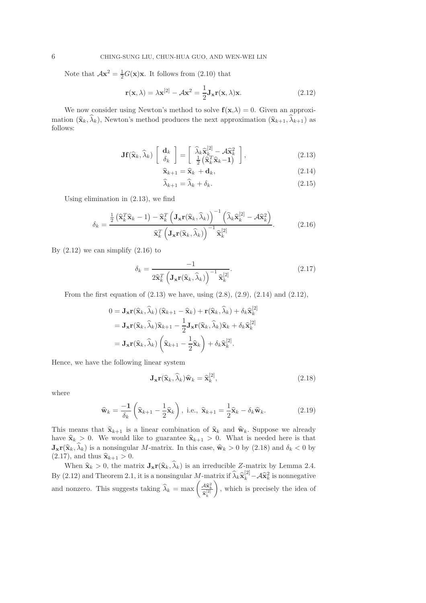Note that  $A\mathbf{x}^2 = \frac{1}{2}G(\mathbf{x})\mathbf{x}$ . It follows from (2.10) that

$$
\mathbf{r}(\mathbf{x}, \lambda) = \lambda \mathbf{x}^{[2]} - \mathcal{A}\mathbf{x}^2 = \frac{1}{2} \mathbf{J}_{\mathbf{x}} \mathbf{r}(\mathbf{x}, \lambda) \mathbf{x}.
$$
 (2.12)

We now consider using Newton's method to solve  $f(x, \lambda) = 0$ . Given an approximation  $(\widehat{\mathbf{x}}_k, \widehat{\lambda}_k)$ , Newton's method produces the next approximation  $(\widehat{\mathbf{x}}_{k+1}, \widehat{\lambda}_{k+1})$  as follows:

$$
\mathbf{Jf}(\widehat{\mathbf{x}}_k, \widehat{\lambda}_k) \begin{bmatrix} \mathbf{d}_k \\ \delta_k \end{bmatrix} = \begin{bmatrix} \widehat{\lambda}_k \widehat{\mathbf{x}}_k^{[2]} - \mathcal{A} \widehat{\mathbf{x}}_k^2 \\ \frac{1}{2} \left( \widehat{\mathbf{x}}_k^T \widehat{\mathbf{x}}_k - \mathbf{1} \right) \end{bmatrix},
$$
(2.13)

$$
\widehat{\mathbf{x}}_{k+1} = \widehat{\mathbf{x}}_k + \mathbf{d}_k, \tag{2.14}
$$

$$
\lambda_{k+1} = \lambda_k + \delta_k. \tag{2.15}
$$

Using elimination in (2.13), we find

$$
\delta_k = \frac{\frac{1}{2} \left( \widehat{\mathbf{x}}_k^T \widehat{\mathbf{x}}_k - 1 \right) - \widehat{\mathbf{x}}_k^T \left( \mathbf{J}_\mathbf{x} \mathbf{r} (\widehat{\mathbf{x}}_k, \widehat{\lambda}_k) \right)^{-1} \left( \widehat{\lambda}_k \widehat{\mathbf{x}}_k^{[2]} - \mathcal{A} \widehat{\mathbf{x}}_k^2 \right)}{\widehat{\mathbf{x}}_k^T \left( \mathbf{J}_\mathbf{x} \mathbf{r} (\widehat{\mathbf{x}}_k, \widehat{\lambda}_k) \right)^{-1} \widehat{\mathbf{x}}_k^{[2]}}.
$$
(2.16)

By  $(2.12)$  we can simplify  $(2.16)$  to

$$
\delta_k = \frac{-1}{2\widehat{\mathbf{x}}_k^T \left(\mathbf{J}_{\mathbf{x}} \mathbf{r}(\widehat{\mathbf{x}}_k, \widehat{\lambda}_k)\right)^{-1} \widehat{\mathbf{x}}_k^{[2]}}.
$$
\n(2.17)

From the first equation of  $(2.13)$  we have, using  $(2.8)$ ,  $(2.9)$ ,  $(2.14)$  and  $(2.12)$ ,

$$
0 = \mathbf{J}_{\mathbf{x}} \mathbf{r}(\widehat{\mathbf{x}}_k, \widehat{\lambda}_k) (\widehat{\mathbf{x}}_{k+1} - \widehat{\mathbf{x}}_k) + \mathbf{r}(\widehat{\mathbf{x}}_k, \widehat{\lambda}_k) + \delta_k \widehat{\mathbf{x}}_k^{[2]}
$$
  
=  $\mathbf{J}_{\mathbf{x}} \mathbf{r}(\widehat{\mathbf{x}}_k, \widehat{\lambda}_k) \widehat{\mathbf{x}}_{k+1} - \frac{1}{2} \mathbf{J}_{\mathbf{x}} \mathbf{r}(\widehat{\mathbf{x}}_k, \widehat{\lambda}_k) \widehat{\mathbf{x}}_k + \delta_k \widehat{\mathbf{x}}_k^{[2]}$   
=  $\mathbf{J}_{\mathbf{x}} \mathbf{r}(\widehat{\mathbf{x}}_k, \widehat{\lambda}_k) \left( \widehat{\mathbf{x}}_{k+1} - \frac{1}{2} \widehat{\mathbf{x}}_k \right) + \delta_k \widehat{\mathbf{x}}_k^{[2]}.$ 

Hence, we have the following linear system

$$
\mathbf{J}_{\mathbf{x}} \mathbf{r}(\widehat{\mathbf{x}}_k, \widehat{\lambda}_k) \widehat{\mathbf{w}}_k = \widehat{\mathbf{x}}_k^{[2]},\tag{2.18}
$$

where

$$
\widehat{\mathbf{w}}_k = \frac{-1}{\delta_k} \left( \widehat{\mathbf{x}}_{k+1} - \frac{1}{2} \widehat{\mathbf{x}}_k \right), \text{ i.e., } \widehat{\mathbf{x}}_{k+1} = \frac{1}{2} \widehat{\mathbf{x}}_k - \delta_k \widehat{\mathbf{w}}_k. \tag{2.19}
$$

This means that  $\hat{\mathbf{x}}_{k+1}$  is a linear combination of  $\hat{\mathbf{x}}_k$  and  $\hat{\mathbf{w}}_k$ . Suppose we already have  $\hat{\mathbf{x}}_k > 0$ . We would like to guarantee  $\hat{\mathbf{x}}_{k+1} > 0$ . What is needed here is that  $\mathbf{J}_{\mathbf{x}} \mathbf{r}(\hat{\mathbf{x}}_k, \lambda_k)$  is a nonsingular M-matrix. In this case,  $\hat{\mathbf{w}}_k > 0$  by (2.18) and  $\delta_k < 0$  by  $(2.17)$ , and thus  $\widehat{\mathbf{x}}_{k+1} > 0$ .

When  $\hat{\mathbf{x}}_k > 0$ , the matrix  $\mathbf{J}_{\mathbf{x}}\mathbf{r}(\hat{\mathbf{x}}_k, \hat{\lambda}_k)$  is an irreducible Z-matrix by Lemma 2.4. By (2.12) and Theorem 2.1, it is a nonsingular  $M$ -matrix if  $\hat{\lambda}_k \hat{\mathbf{x}}_k^{[2]} - A \hat{\mathbf{x}}_k^2$  is nonnegative and nonzero. This suggests taking  $\widehat{\lambda}_k = \max \left( \frac{\mathcal{A}\widehat{\mathbf{x}}_k^2}{\widehat{\mathbf{x}}_k^{[2]}} \right)$  $\overline{\phantom{0}}$ , which is precisely the idea of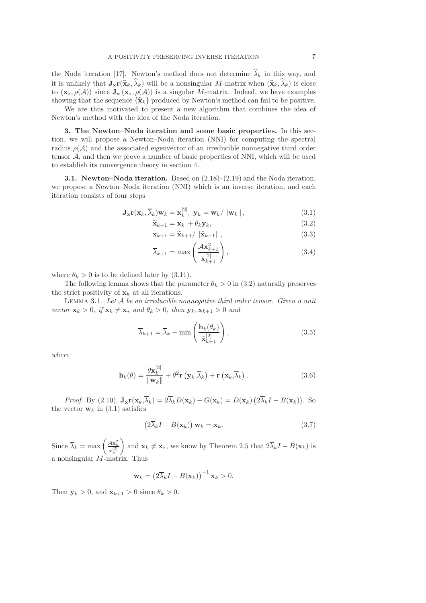the Noda iteration [17]. Newton's method does not determine  $\hat{\lambda}_k$  in this way, and it is unlikely that  $J_{\mathbf{x}}r(\hat{\mathbf{x}}_k, \hat{\lambda}_k)$  will be a nonsingular M-matrix when  $(\hat{\mathbf{x}}_k, \hat{\lambda}_k)$  is close to  $(\mathbf{x}_*, \rho(\mathcal{A}))$  since  $\mathbf{J}_{\mathbf{x}} (\mathbf{x}_*, \rho(\mathcal{A}))$  is a singular M-matrix. Indeed, we have examples showing that the sequence  $\{\hat{\mathbf{x}}_k\}$  produced by Newton's method can fail to be positive.

We are thus motivated to present a new algorithm that combines the idea of Newton's method with the idea of the Noda iteration.

3. The Newton–Noda iteration and some basic properties. In this section, we will propose a Newton–Noda iteration (NNI) for computing the spectral radius  $\rho(\mathcal{A})$  and the associated eigenvector of an irreducible nonnegative third order tensor  $A$ , and then we prove a number of basic properties of NNI, which will be used to establish its convergence theory in section 4.

3.1. Newton–Noda iteration. Based on (2.18)–(2.19) and the Noda iteration, we propose a Newton–Noda iteration (NNI) which is an inverse iteration, and each iteration consists of four steps

$$
\mathbf{J}_{\mathbf{x}} \mathbf{r}(\mathbf{x}_k, \overline{\lambda}_k) \mathbf{w}_k = \mathbf{x}_k^{[2]}, \ \mathbf{y}_k = \mathbf{w}_k / \|\mathbf{w}_k\| \,, \tag{3.1}
$$

$$
\widetilde{\mathbf{x}}_{k+1} = \mathbf{x}_k + \theta_k \mathbf{y}_k, \tag{3.2}
$$

$$
\mathbf{x}_{k+1} = \widetilde{\mathbf{x}}_{k+1} / \left\| \widetilde{\mathbf{x}}_{k+1} \right\|, \tag{3.3}
$$

$$
\overline{\lambda}_{k+1} = \max\left(\frac{\mathcal{A} \mathbf{x}_{k+1}^2}{\mathbf{x}_{k+1}^{[2]}}\right),\tag{3.4}
$$

where  $\theta_k > 0$  is to be defined later by (3.11).

The following lemma shows that the parameter  $\theta_k > 0$  in (3.2) naturally preserves the strict positivity of  $x_k$  at all iterations.

LEMMA 3.1. Let  $A$  be an irreducible nonnegative third order tensor. Given a unit vector  $\mathbf{x}_k > 0$ , if  $\mathbf{x}_k \neq \mathbf{x}_*$  and  $\theta_k > 0$ , then  $\mathbf{y}_k, \mathbf{x}_{k+1} > 0$  and

$$
\overline{\lambda}_{k+1} = \overline{\lambda}_k - \min\left(\frac{\mathbf{h}_k(\theta_k)}{\widetilde{\mathbf{x}}_{k+1}^{[2]}}\right),\tag{3.5}
$$

where

$$
\mathbf{h}_{k}(\theta) = \frac{\theta \mathbf{x}_{k}^{[2]}}{\|\mathbf{w}_{k}\|} + \theta^{2} \mathbf{r}\left(\mathbf{y}_{k}, \overline{\lambda}_{k}\right) + \mathbf{r}\left(\mathbf{x}_{k}, \overline{\lambda}_{k}\right). \tag{3.6}
$$

*Proof.* By (2.10),  $\mathbf{J_x r}(\mathbf{x}_k, \overline{\lambda}_k) = 2\overline{\lambda}_k D(\mathbf{x}_k) - G(\mathbf{x}_k) = D(\mathbf{x}_k) (2\overline{\lambda}_k I - B(\mathbf{x}_k))$ . So the vector  $\mathbf{w}_k$  in (3.1) satisfies

$$
(2\overline{\lambda}_k I - B(\mathbf{x}_k)) \mathbf{w}_k = \mathbf{x}_k. \tag{3.7}
$$

Since  $\overline{\lambda}_k = \max \left( \frac{A \mathbf{x}_k^2}{\mathbf{x}_k^{[2]}} \right)$  $\setminus$ and  $\mathbf{x}_k \neq \mathbf{x}_*$ , we know by Theorem 2.5 that  $2\lambda_k I - B(\mathbf{x}_k)$  is a nonsingular M-matrix. Thus

$$
\mathbf{w}_k = \left(2\overline{\lambda}_k I - B(\mathbf{x}_k)\right)^{-1} \mathbf{x}_k > 0.
$$

Then  $y_k > 0$ , and  $x_{k+1} > 0$  since  $\theta_k > 0$ .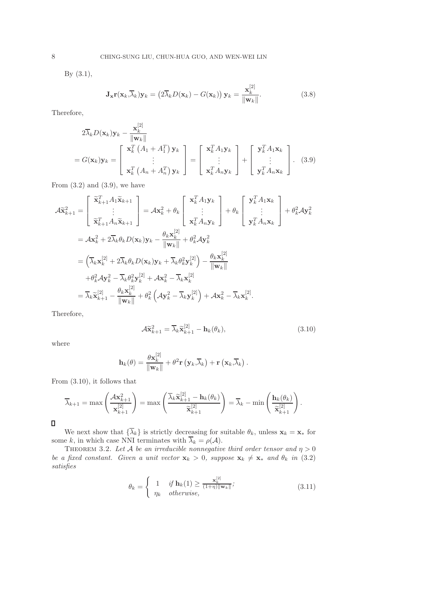By (3.1),

$$
\mathbf{J}_{\mathbf{x}} \mathbf{r}(\mathbf{x}_k, \overline{\lambda}_k) \mathbf{y}_k = \left(2\overline{\lambda}_k D(\mathbf{x}_k) - G(\mathbf{x}_k)\right) \mathbf{y}_k = \frac{\mathbf{x}_k^{[2]}}{\|\mathbf{w}_k\|}.
$$
 (3.8)

Therefore,

$$
2\overline{\lambda}_k D(\mathbf{x}_k) \mathbf{y}_k - \frac{\mathbf{x}_k^{[2]}}{\|\mathbf{w}_k\|}
$$
  
=  $G(\mathbf{x}_k) \mathbf{y}_k = \begin{bmatrix} \mathbf{x}_k^T (A_1 + A_1^T) \mathbf{y}_k \\ \vdots \\ \mathbf{x}_k^T (A_n + A_n^T) \mathbf{y}_k \end{bmatrix} = \begin{bmatrix} \mathbf{x}_k^T A_1 \mathbf{y}_k \\ \vdots \\ \mathbf{x}_k^T A_n \mathbf{y}_k \end{bmatrix} + \begin{bmatrix} \mathbf{y}_k^T A_1 \mathbf{x}_k \\ \vdots \\ \mathbf{y}_k^T A_n \mathbf{x}_k \end{bmatrix}.$  (3.9)

From  $(3.2)$  and  $(3.9)$ , we have

$$
\mathcal{A}\tilde{\mathbf{x}}_{k+1}^{2} = \begin{bmatrix} \tilde{\mathbf{x}}_{k+1}^{T} A_{1} \tilde{\mathbf{x}}_{k+1} \\ \vdots \\ \tilde{\mathbf{x}}_{k+1}^{T} A_{n} \tilde{\mathbf{x}}_{k+1} \end{bmatrix} = \mathcal{A}\mathbf{x}_{k}^{2} + \theta_{k} \begin{bmatrix} \mathbf{x}_{k}^{T} A_{1} \mathbf{y}_{k} \\ \vdots \\ \mathbf{x}_{k}^{T} A_{n} \mathbf{y}_{k} \end{bmatrix} + \theta_{k} \begin{bmatrix} \mathbf{y}_{k}^{T} A_{1} \mathbf{x}_{k} \\ \vdots \\ \mathbf{y}_{k}^{T} A_{n} \mathbf{x}_{k} \end{bmatrix} + \theta_{k}^{2} \mathcal{A}\mathbf{y}_{k}^{2}
$$
  
\n
$$
= \mathcal{A}\mathbf{x}_{k}^{2} + 2\overline{\lambda}_{k} \theta_{k} D(\mathbf{x}_{k}) \mathbf{y}_{k} - \frac{\theta_{k} \mathbf{x}_{k}^{[2]}}{\|\mathbf{w}_{k}\|} + \theta_{k}^{2} \mathcal{A}\mathbf{y}_{k}^{2}
$$
  
\n
$$
= \left( \overline{\lambda}_{k} \mathbf{x}_{k}^{[2]} + 2\overline{\lambda}_{k} \theta_{k} D(\mathbf{x}_{k}) \mathbf{y}_{k} + \overline{\lambda}_{k} \theta_{k}^{2} \mathbf{y}_{k}^{[2]} \right) - \frac{\theta_{k} \mathbf{x}_{k}^{[2]}}{\|\mathbf{w}_{k}\|}
$$
  
\n
$$
+ \theta_{k}^{2} \mathcal{A}\mathbf{y}_{k}^{2} - \overline{\lambda}_{k} \theta_{k}^{2} \mathbf{y}_{k}^{[2]} + \mathcal{A}\mathbf{x}_{k}^{2} - \overline{\lambda}_{k} \mathbf{x}_{k}^{[2]}
$$
  
\n
$$
= \overline{\lambda}_{k} \tilde{\mathbf{x}}_{k+1}^{[2]} - \frac{\theta_{k} \mathbf{x}_{k}^{[2]}}{\|\mathbf{w}_{k}\|} + \theta_{k}^{2} \left( \mathcal{A}\mathbf{y}_{k}^{2} - \overline{\lambda}_{k} \mathbf{y}_{k}^{[2]} \right) + \mathcal{A}\mathbf{x}_{k}^{2
$$

Therefore,

$$
\mathcal{A}\widetilde{\mathbf{x}}_{k+1}^2 = \overline{\lambda}_k \widetilde{\mathbf{x}}_{k+1}^{[2]} - \mathbf{h}_k(\theta_k),
$$
\n(3.10)

where

$$
\mathbf{h}_k(\theta) = \frac{\theta \mathbf{x}_k^{[2]}}{\|\mathbf{w}_k\|} + \theta^2 \mathbf{r} (\mathbf{y}_k, \overline{\lambda}_k) + \mathbf{r} (\mathbf{x}_k, \overline{\lambda}_k).
$$

From (3.10), it follows that

$$
\overline{\lambda}_{k+1} = \max\left(\frac{\mathcal{A} \mathbf{x}_{k+1}^2}{\mathbf{x}_{k+1}^{[2]}}\right) = \max\left(\frac{\overline{\lambda}_k \widetilde{\mathbf{x}}_{k+1}^{[2]} - \mathbf{h}_k(\theta_k)}{\widetilde{\mathbf{x}}_{k+1}^{[2]}}\right) = \overline{\lambda}_k - \min\left(\frac{\mathbf{h}_k(\theta_k)}{\widetilde{\mathbf{x}}_{k+1}^{[2]}}\right).
$$

 $\Box$ 

We next show that  ${\{\overline{\lambda}_k\}}$  is strictly decreasing for suitable  $\theta_k$ , unless  $\mathbf{x}_k = \mathbf{x}_*$  for some k, in which case NNI terminates with  $\overline{\lambda}_k = \rho(\mathcal{A})$ .

THEOREM 3.2. Let A be an irreducible nonnegative third order tensor and  $\eta > 0$ be a fixed constant. Given a unit vector  $\mathbf{x}_k > 0$ , suppose  $\mathbf{x}_k \neq \mathbf{x}_*$  and  $\theta_k$  in (3.2) satisfies

$$
\theta_k = \begin{cases} 1 & \text{if } \mathbf{h}_k(1) \ge \frac{\mathbf{x}_k^{[2]}}{(1+\eta)\|\mathbf{w}_k\|}; \\ \eta_k & \text{otherwise,} \end{cases} \tag{3.11}
$$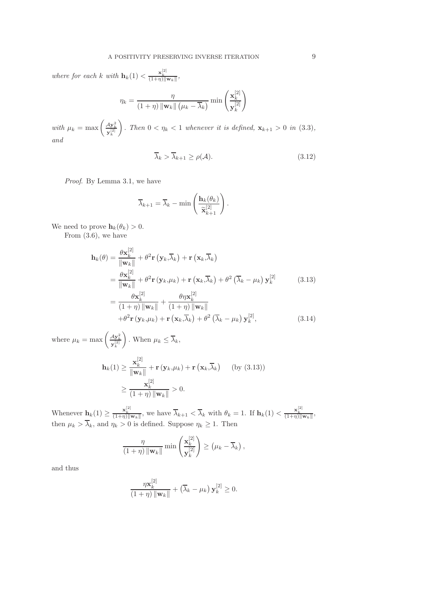where for each k with  $\mathbf{h}_k(1) < \frac{\mathbf{x}_k^{[2]}}{(1+\eta)\|\mathbf{w}_k\|}$ ,

$$
\eta_k = \frac{\eta}{(1+\eta) \|\mathbf{w}_k\| \left(\mu_k - \overline{\lambda}_k\right)} \min\left(\frac{\mathbf{x}_k^{[2]}}{\mathbf{y}_k^{[2]}}\right)
$$

with  $\mu_k = \max \left( \frac{Ay_k^2}{y_k^{[2]}} \right)$  $\setminus$ . Then  $0 < \eta_k < 1$  whenever it is defined,  $\mathbf{x}_{k+1} > 0$  in (3.3), and

$$
\overline{\lambda}_k > \overline{\lambda}_{k+1} \ge \rho(\mathcal{A}).\tag{3.12}
$$

Proof. By Lemma 3.1, we have

$$
\overline{\lambda}_{k+1} = \overline{\lambda}_k - \min\left(\frac{\mathbf{h}_k(\theta_k)}{\widetilde{\mathbf{x}}_{k+1}^{[2]}}\right).
$$

We need to prove  $\mathbf{h}_k(\theta_k) > 0$ .

From (3.6), we have

$$
\mathbf{h}_{k}(\theta) = \frac{\theta \mathbf{x}_{k}^{[2]}}{\|\mathbf{w}_{k}\|} + \theta^{2} \mathbf{r} \left(\mathbf{y}_{k}, \overline{\lambda}_{k}\right) + \mathbf{r} \left(\mathbf{x}_{k}, \overline{\lambda}_{k}\right)
$$
\n
$$
= \frac{\theta \mathbf{x}_{k}^{[2]}}{\|\mathbf{w}_{k}\|} + \theta^{2} \mathbf{r} \left(\mathbf{y}_{k}, \mu_{k}\right) + \mathbf{r} \left(\mathbf{x}_{k}, \overline{\lambda}_{k}\right) + \theta^{2} \left(\overline{\lambda}_{k} - \mu_{k}\right) \mathbf{y}_{k}^{[2]} \qquad (3.13)
$$
\n
$$
= \frac{\theta \mathbf{x}_{k}^{[2]}}{(1+\eta) \|\mathbf{w}_{k}\|} + \frac{\theta \eta \mathbf{x}_{k}^{[2]}}{(1+\eta) \|\mathbf{w}_{k}\|} + \frac{\theta \eta \mathbf{x}_{k}^{[2]}}{(1+\eta) \|\mathbf{w}_{k}\|} + \theta^{2} \mathbf{r} \left(\mathbf{y}_{k}, \mu_{k}\right) + \mathbf{r} \left(\mathbf{x}_{k}, \overline{\lambda}_{k}\right) + \theta^{2} \left(\overline{\lambda}_{k} - \mu_{k}\right) \mathbf{y}_{k}^{[2]}, \qquad (3.14)
$$

where  $\mu_k = \max \left( \frac{A \mathbf{y}_k^2}{\mathbf{y}_k^{[2]}} \right)$  $\setminus$ . When  $\mu_k \leq \lambda_k$ ,

$$
\mathbf{h}_{k}(1) \geq \frac{\mathbf{x}_{k}^{[2]}}{\|\mathbf{w}_{k}\|} + \mathbf{r}(\mathbf{y}_{k}, \mu_{k}) + \mathbf{r}(\mathbf{x}_{k}, \overline{\lambda}_{k}) \quad \text{(by (3.13))}
$$

$$
\geq \frac{\mathbf{x}_{k}^{[2]}}{(1+\eta) \|\mathbf{w}_{k}\|} > 0.
$$

Whenever  $\mathbf{h}_k(1) \geq \frac{\mathbf{x}_k^{[2]}}{(1+\eta)\|\mathbf{w}_k\|}$ , we have  $\overline{\lambda}_{k+1} < \overline{\lambda}_k$  with  $\theta_k = 1$ . If  $\mathbf{h}_k(1) < \frac{\mathbf{x}_k^{[2]}}{(1+\eta)\|\mathbf{w}_k\|}$ , then  $\mu_k > \lambda_k$ , and  $\eta_k > 0$  is defined. Suppose  $\eta_k \geq 1$ . Then

$$
\frac{\eta}{(1+\eta)\|\mathbf{w}_k\|}\min\left(\frac{\mathbf{x}_k^{[2]}}{\mathbf{y}_k^{[2]}}\right) \geq \left(\mu_k - \overline{\lambda}_k\right),\,
$$

and thus

$$
\frac{\eta \mathbf{x}_k^{[2]}}{(1+\eta) \|\mathbf{w}_k\|} + (\overline{\lambda}_k - \mu_k) \mathbf{y}_k^{[2]} \ge 0.
$$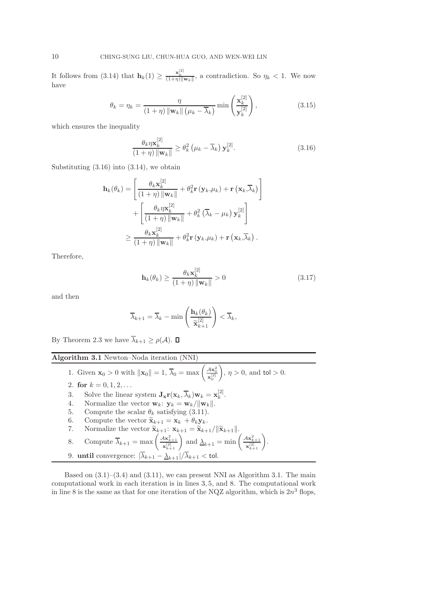It follows from (3.14) that  $\mathbf{h}_k(1) \geq \frac{\mathbf{x}_k^{[2]}}{(1+\eta)\|\mathbf{w}_k\|}$ , a contradiction. So  $\eta_k < 1$ . We now have

$$
\theta_k = \eta_k = \frac{\eta}{(1+\eta) \|\mathbf{w}_k\| \left(\mu_k - \overline{\lambda}_k\right)} \min\left(\frac{\mathbf{x}_k^{[2]}}{\mathbf{y}_k^{[2]}}\right),\tag{3.15}
$$

which ensures the inequality

$$
\frac{\theta_k \eta \mathbf{x}_k^{[2]}}{(1+\eta) \|\mathbf{w}_k\|} \ge \theta_k^2 \left(\mu_k - \overline{\lambda}_k\right) \mathbf{y}_k^{[2]}.\tag{3.16}
$$

Substituting (3.16) into (3.14), we obtain

$$
\mathbf{h}_{k}(\theta_{k}) = \left[ \frac{\theta_{k} \mathbf{x}_{k}^{[2]}}{(1+\eta) \|\mathbf{w}_{k}\|} + \theta_{k}^{2} \mathbf{r} \left( \mathbf{y}_{k}, \mu_{k} \right) + \mathbf{r} \left( \mathbf{x}_{k}, \overline{\lambda}_{k} \right) \right] + \left[ \frac{\theta_{k} \eta \mathbf{x}_{k}^{[2]}}{(1+\eta) \|\mathbf{w}_{k}\|} + \theta_{k}^{2} \left( \overline{\lambda}_{k} - \mu_{k} \right) \mathbf{y}_{k}^{[2]} \right] \ge \frac{\theta_{k} \mathbf{x}_{k}^{[2]}}{(1+\eta) \|\mathbf{w}_{k}\|} + \theta_{k}^{2} \mathbf{r} \left( \mathbf{y}_{k}, \mu_{k} \right) + \mathbf{r} \left( \mathbf{x}_{k}, \overline{\lambda}_{k} \right).
$$

Therefore,

$$
\mathbf{h}_{k}(\theta_{k}) \ge \frac{\theta_{k} \mathbf{x}_{k}^{[2]}}{(1+\eta) \|\mathbf{w}_{k}\|} > 0
$$
\n(3.17)

and then

$$
\overline{\lambda}_{k+1} = \overline{\lambda}_k - \min\left(\frac{\mathbf{h}_k(\theta_k)}{\widetilde{\mathbf{x}}_{k+1}^{[2]}}\right) < \overline{\lambda}_k,
$$

By Theorem 2.3 we have  $\overline{\lambda}_{k+1} \geq \rho(\mathcal{A})$ .  $\Box$ 

Algorithm 3.1 Newton–Noda iteration (NNI)

1. Given 
$$
\mathbf{x}_0 > 0
$$
 with  $\|\mathbf{x}_0\| = 1$ ,  $\overline{\lambda}_0 = \max\left(\frac{4\mathbf{x}_0^2}{\mathbf{x}_0^{[2]}}\right)$ ,  $\eta > 0$ , and  $\text{tol} > 0$ .

- 2. for  $k = 0, 1, 2, \ldots$
- 3. Solve the linear system  $\mathbf{J}_{\mathbf{x}} \mathbf{r}(\mathbf{x}_k, \overline{\lambda}_k) \mathbf{w}_k = \mathbf{x}_k^{[2]}$  $\frac{[2]}{k}$ .
- 4. Normalize the vector  $\mathbf{w}_k$ :  $\mathbf{y}_k = \mathbf{w}_k / ||\mathbf{w}_k||$ .<br>5. Compute the scalar  $\theta_k$  satisfying (3.11).
- Compute the scalar  $\theta_k$  satisfying (3.11).

6. Compute the vector 
$$
\tilde{\mathbf{x}}_{k+1} = \mathbf{x}_k + \theta_k \mathbf{y}_k
$$
.

7. Normalize the vector 
$$
\widetilde{\mathbf{x}}_{k+1}: \mathbf{x}_{k+1} = \widetilde{\mathbf{x}}_{k+1}/\|\widetilde{\mathbf{x}}_{k+1}\|.
$$

8. Compute 
$$
\overline{\lambda}_{k+1} = \max\left(\frac{Ax_{k+1}^2}{x_{k+1}^{[2]}}\right)
$$
 and  $\underline{\lambda}_{k+1} = \min\left(\frac{Ax_{k+1}^2}{x_{k+1}^{[2]}}\right)$ .

9. **until** convergence: 
$$
|\overline{\lambda}_{k+1} - \underline{\lambda}_{k+1}|/\overline{\lambda}_{k+1} <
$$
tol.

Based on  $(3.1)$ – $(3.4)$  and  $(3.11)$ , we can present NNI as Algorithm 3.1. The main computational work in each iteration is in lines 3, 5, and 8. The computational work in line 8 is the same as that for one iteration of the NQZ algorithm, which is  $2n^3$  flops,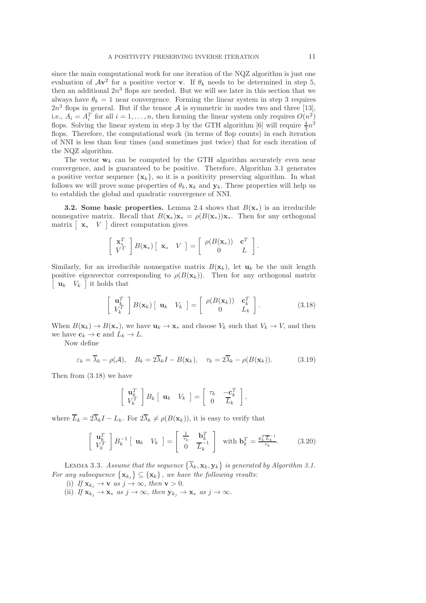since the main computational work for one iteration of the NQZ algorithm is just one evaluation of  $Av^2$  for a positive vector **v**. If  $\theta_k$  needs to be determined in step 5, then an additional  $2n^3$  flops are needed. But we will see later in this section that we always have  $\theta_k = 1$  near convergence. Forming the linear system in step 3 requires  $2n<sup>3</sup>$  flops in general. But if the tensor A is symmetric in modes two and three [13], i.e.,  $A_i = A_i^T$  for all  $i = 1, ..., n$ , then forming the linear system only requires  $O(n^2)$ flops. Solving the linear system in step 3 by the GTH algorithm [6] will require  $\frac{4}{3}n^3$ flops. Therefore, the computational work (in terms of flop counts) in each iteration of NNI is less than four times (and sometimes just twice) that for each iteration of the NQZ algorithm.

The vector  $w_k$  can be computed by the GTH algorithm accurately even near convergence, and is guaranteed to be positive. Therefore, Algorithm 3.1 generates a positive vector sequence  $\{x_k\}$ , so it is a positivity preserving algorithm. In what follows we will prove some properties of  $\theta_k$ ,  $\mathbf{x}_k$  and  $\mathbf{y}_k$ . These properties will help us to establish the global and quadratic convergence of NNI.

**3.2.** Some basic properties. Lemma 2.4 shows that  $B(\mathbf{x}_{*})$  is an irreducible nonnegative matrix. Recall that  $B(\mathbf{x}_*)\mathbf{x}_* = \rho(B(\mathbf{x}_*))\mathbf{x}_*$ . Then for any orthogonal matrix  $\left[\begin{array}{cc} \mathbf{x} & V \end{array}\right]$  direct computation gives

$$
\left[\begin{array}{c} \mathbf{x}_*^T \\ V^T \end{array}\right] B(\mathbf{x}_*) \left[\begin{array}{cc} \mathbf{x}_* & V \end{array}\right] = \left[\begin{array}{cc} \rho(B(\mathbf{x}_*)) & \mathbf{c}^T \\ 0 & L \end{array}\right].
$$

Similarly, for an irreducible nonnegative matrix  $B(\mathbf{x}_k)$ , let  $\mathbf{u}_k$  be the unit length positive eigenvector corresponding to  $\rho(B(\mathbf{x}_k))$ . Then for any orthogonal matrix  $\begin{bmatrix} \mathbf{u}_k & V_k \end{bmatrix}$  it holds that

$$
\begin{bmatrix} \mathbf{u}_k^T \\ V_k^T \end{bmatrix} B(\mathbf{x}_k) \begin{bmatrix} \mathbf{u}_k & V_k \end{bmatrix} = \begin{bmatrix} \rho(B(\mathbf{x}_k)) & \mathbf{c}_k^T \\ 0 & L_k \end{bmatrix} . \tag{3.18}
$$

When  $B(\mathbf{x}_k) \to B(\mathbf{x}_*)$ , we have  $\mathbf{u}_k \to \mathbf{x}_*$  and choose  $V_k$  such that  $V_k \to V$ , and then we have  $c_k \to c$  and  $L_k \to L$ .

Now define

$$
\varepsilon_k = \overline{\lambda}_k - \rho(\mathcal{A}), \quad B_k = 2\overline{\lambda}_k I - B(\mathbf{x}_k), \quad \tau_k = 2\overline{\lambda}_k - \rho(B(\mathbf{x}_k)). \tag{3.19}
$$

Then from (3.18) we have

$$
\left[\begin{array}{c} \mathbf{u}_k^T \\ V_k^T \end{array}\right] B_k \left[\begin{array}{cc} \mathbf{u}_k & V_k \end{array}\right] = \left[\begin{array}{cc} \tau_k & -\mathbf{c}_k^T \\ 0 & \overline{L}_k \end{array}\right],
$$

where  $\overline{L}_k = 2\overline{\lambda}_k I - L_k$ . For  $2\overline{\lambda}_k \neq \rho(B(\mathbf{x}_k))$ , it is easy to verify that

$$
\begin{bmatrix} \mathbf{u}_k^T \\ V_k^T \end{bmatrix} B_k^{-1} \begin{bmatrix} \mathbf{u}_k & V_k \end{bmatrix} = \begin{bmatrix} \frac{1}{\tau_k} & \mathbf{b}_k^T \\ 0 & \frac{1}{L_k} \end{bmatrix} \text{ with } \mathbf{b}_k^T = \frac{\mathbf{c}_k^T \overline{L}_k^{-1}}{\tau_k}. \tag{3.20}
$$

LEMMA 3.3. Assume that the sequence  $\{\overline{\lambda}_k, \mathbf{x}_k, \mathbf{y}_k\}$  is generated by Algorithm 3.1. For any subsequence  $\{x_{k_j}\}\subseteq \{x_k\}$ , we have the following results:

- (i) If  $\mathbf{x}_{k_j} \to \mathbf{v}$  as  $j \to \infty$ , then  $\mathbf{v} > 0$ .
- (ii) If  $\mathbf{x}_{k_j} \to \mathbf{x}_*$  as  $j \to \infty$ , then  $\mathbf{y}_{k_j} \to \mathbf{x}_*$  as  $j \to \infty$ .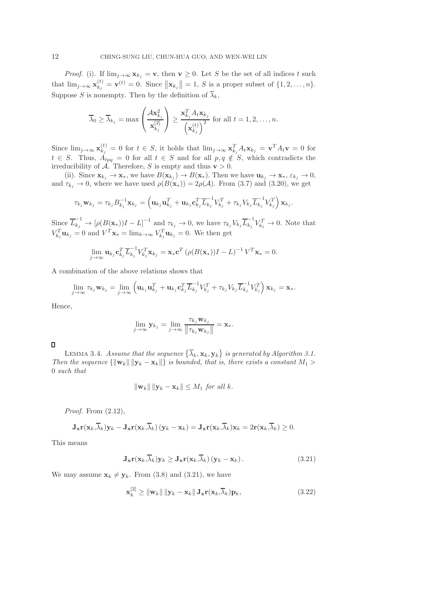*Proof.* (i). If  $\lim_{j\to\infty} \mathbf{x}_{k_j} = \mathbf{v}$ , then  $\mathbf{v} \geq 0$ . Let S be the set of all indices t such that  $\lim_{j\to\infty} \mathbf{x}_{k_j}^{(t)}$  $\mathbf{x}_{k_j}^{(t)} = \mathbf{v}^{(t)} = 0.$  Since  $\|\mathbf{x}_{k_j}\| = 1, S$  is a proper subset of  $\{1, 2, ..., n\}.$ Suppose S is nonempty. Then by the definition of  $\overline{\lambda}_k$ ,

$$
\overline{\lambda}_0 \geq \overline{\lambda}_{k_j} = \max\left(\frac{\mathcal{A} \mathbf{x}_{k_j}^2}{\mathbf{x}_{k_j}^{[2]}}\right) \geq \frac{\mathbf{x}_{k_j}^T A_t \mathbf{x}_{k_j}}{\left(\mathbf{x}_{k_j}^{(t)}\right)^2} \text{ for all } t = 1, 2, \dots, n.
$$

Since  $\lim_{j\to\infty} \mathbf{x}_{k_j}^{(t)}$  $\mathbf{x}_{k_j}^{(t)} = 0$  for  $t \in S$ , it holds that  $\lim_{j \to \infty} \mathbf{x}_{k_j}^T A_t \mathbf{x}_{k_j} = \mathbf{v}^T A_t \mathbf{v} = 0$  for  $t \in S$ . Thus,  $A_{tpq} = 0$  for all  $t \in S$  and for all  $p, q \notin S$ , which contradicts the irreducibility of A. Therefore, S is empty and thus  $v > 0$ .

(ii). Since  $\mathbf{x}_{k_j} \to \mathbf{x}_*$ , we have  $B(\mathbf{x}_{k_j}) \to B(\mathbf{x}_*)$ . Then we have  $\mathbf{u}_{k_j} \to \mathbf{x}_*$ ,  $\varepsilon_{k_j} \to 0$ , and  $\tau_{k_j} \to 0$ , where we have used  $\rho(B(\mathbf{x}_{*})) = 2\rho(\mathcal{A})$ . From (3.7) and (3.20), we get

$$
\tau_{k_j}\mathbf{w}_{k_j} = \tau_{k_j}B_{k_j}^{-1}\mathbf{x}_{k_j} = \left(\mathbf{u}_{k_j}\mathbf{u}_{k_j}^T + \mathbf{u}_{k_j}\mathbf{c}_{k_j}^T\overline{L}_{k_j}^{-1}V_{k_j}^T + \tau_{k_j}V_{k_j}\overline{L}_{k_j}^{-1}V_{k_j}^T\right)\mathbf{x}_{k_j}.
$$

Since  $\overline{L}_{k_j}^{-1} \to [\rho(B(\mathbf{x}_*))I - L]^{-1}$  and  $\tau_{k_j} \to 0$ , we have  $\tau_{k_j} V_{k_j} \overline{L}_{k_j}^{-1} V_{k_j}^T \to 0$ . Note that  $V_{k_j}^T \mathbf{u}_{k_j} = 0$  and  $V^T \mathbf{x}_{*} = \lim_{k \to \infty} V_{k_j}^T \mathbf{u}_{k_j} = 0$ . We then get

$$
\lim_{j \to \infty} \mathbf{u}_{k_j} \mathbf{c}_{k_j}^T \overline{L}_{k_j}^{-1} V_{k_j}^T \mathbf{x}_{k_j} = \mathbf{x}_{*} \mathbf{c}^T \left( \rho (B(\mathbf{x}_{*})) I - L \right)^{-1} V^T \mathbf{x}_{*} = 0.
$$

A combination of the above relations shows that

$$
\lim_{j\to\infty}\tau_{k_j}\mathbf{w}_{k_j}=\lim_{j\to\infty}\left(\mathbf{u}_{k_j}\mathbf{u}_{k_j}^T+\mathbf{u}_{k_j}\mathbf{c}_{k_j}^T\overline{L}_{k_j}^{-1}V_{k_j}^T+\tau_{k_j}V_{k_j}\overline{L}_{k_j}^{-1}V_{k_j}^T\right)\mathbf{x}_{k_j}=\mathbf{x}_{*}.
$$

Hence,

$$
\lim_{j\to\infty} \mathbf{y}_{k_j} = \lim_{j\to\infty} \frac{\tau_{k_j} \mathbf{w}_{k_j}}{\left\|\tau_{k_j} \mathbf{w}_{k_j}\right\|} = \mathbf{x}_*.
$$

 $\Box$ 

LEMMA 3.4. Assume that the sequence  $\{\overline{\lambda}_k, \mathbf{x}_k, \mathbf{y}_k\}$  is generated by Algorithm 3.1. Then the sequence  $\{\Vert \mathbf{w}_k \Vert \Vert \mathbf{y}_k - \mathbf{x}_k \Vert\}$  is bounded, that is, there exists a constant  $M_1 >$ 0 such that

$$
\|\mathbf{w}_k\| \|\mathbf{y}_k - \mathbf{x}_k\| \le M_1 \text{ for all } k.
$$

*Proof.* From  $(2.12)$ ,

$$
\mathbf{J}_{\mathbf{x}}\mathbf{r}(\mathbf{x}_k,\overline{\lambda}_k)\mathbf{y}_k-\mathbf{J}_{\mathbf{x}}\mathbf{r}(\mathbf{x}_k,\overline{\lambda}_k)(\mathbf{y}_k-\mathbf{x}_k)=\mathbf{J}_{\mathbf{x}}\mathbf{r}(\mathbf{x}_k,\overline{\lambda}_k)\mathbf{x}_k=2\mathbf{r}(\mathbf{x}_k,\overline{\lambda}_k)\geq 0.
$$

This means

$$
\mathbf{J}_{\mathbf{x}} \mathbf{r}(\mathbf{x}_k, \overline{\lambda}_k) \mathbf{y}_k \ge \mathbf{J}_{\mathbf{x}} \mathbf{r}(\mathbf{x}_k, \overline{\lambda}_k) \left( \mathbf{y}_k - \mathbf{x}_k \right). \tag{3.21}
$$

We may assume  $\mathbf{x}_k \neq \mathbf{y}_k$ . From (3.8) and (3.21), we have

$$
\mathbf{x}_k^{[2]} \geq \|\mathbf{w}_k\| \|\mathbf{y}_k - \mathbf{x}_k\| \mathbf{J}_\mathbf{x} \mathbf{r}(\mathbf{x}_k, \overline{\lambda}_k) \mathbf{p}_k,\tag{3.22}
$$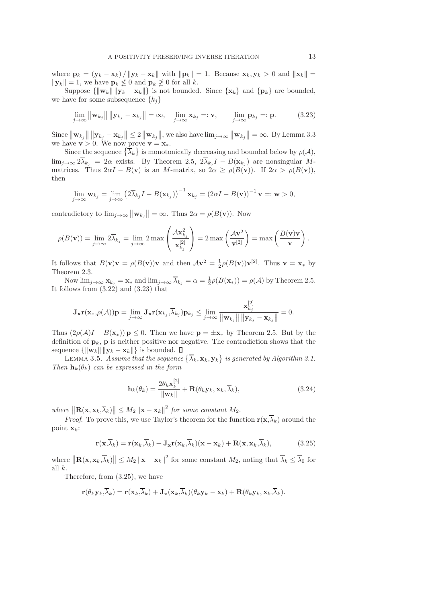where  $\mathbf{p}_k = (\mathbf{y}_k - \mathbf{x}_k) / ||\mathbf{y}_k - \mathbf{x}_k||$  with  $||\mathbf{p}_k|| = 1$ . Because  $\mathbf{x}_k, \mathbf{y}_k > 0$  and  $||\mathbf{x}_k|| =$  $||\mathbf{y}_k|| = 1$ , we have  $\mathbf{p}_k \nleq 0$  and  $\mathbf{p}_k \ngeq 0$  for all k.

Suppose  $\{\|\mathbf{w}_k\| \|\mathbf{y}_k - \mathbf{x}_k\| \}$  is not bounded. Since  $\{\mathbf{x}_k\}$  and  $\{\mathbf{p}_k\}$  are bounded, we have for some subsequence  ${k_i}$ 

$$
\lim_{j \to \infty} \|\mathbf{w}_{k_j}\| \|\mathbf{y}_{k_j} - \mathbf{x}_{k_j}\| = \infty, \quad \lim_{j \to \infty} \mathbf{x}_{k_j} =: \mathbf{v}, \qquad \lim_{j \to \infty} \mathbf{p}_{k_j} =: \mathbf{p}.
$$
 (3.23)

Since  $\|\mathbf{w}_{k_j}\|$   $\|\mathbf{y}_{k_j} - \mathbf{x}_{k_j}\| \leq 2 \|\mathbf{w}_{k_j}\|$ , we also have  $\lim_{j\to\infty} \|\mathbf{w}_{k_j}\| = \infty$ . By Lemma 3.3 we have  $\mathbf{v} > 0$ . We now prove  $\mathbf{v} = \mathbf{x}_*$ .

Since the sequence  $\{\overline{\lambda}_k\}$  is monotonically decreasing and bounded below by  $\rho(\mathcal{A}),$  $\lim_{j\to\infty} 2\lambda_{k_j} = 2\alpha$  exists. By Theorem 2.5,  $2\lambda_{k_j}I - B(\mathbf{x}_{k_j})$  are nonsingular Mmatrices. Thus  $2\alpha I - B(v)$  is an M-matrix, so  $2\alpha \ge \rho(B(v))$ . If  $2\alpha > \rho(B(v))$ , then

$$
\lim_{j\to\infty}\mathbf{w}_{k_j}=\lim_{j\to\infty}\left(2\overline{\lambda}_{k_j}I-B(\mathbf{x}_{k_j})\right)^{-1}\mathbf{x}_{k_j}=\left(2\alpha I-B(\mathbf{v})\right)^{-1}\mathbf{v}=\mathbf{w}>0,
$$

contradictory to  $\lim_{j\to\infty} ||\mathbf{w}_{k_j}|| = \infty$ . Thus  $2\alpha = \rho(B(\mathbf{v}))$ . Now

$$
\rho(B(\mathbf{v})) = \lim_{j \to \infty} 2\overline{\lambda}_{k_j} = \lim_{j \to \infty} 2 \max \left( \frac{\mathcal{A} \mathbf{x}_{k_j}^2}{\mathbf{x}_{k_j}^{[2]}} \right) = 2 \max \left( \frac{\mathcal{A} \mathbf{v}^2}{\mathbf{v}^{[2]}} \right) = \max \left( \frac{B(\mathbf{v})\mathbf{v}}{\mathbf{v}} \right).
$$

It follows that  $B(\mathbf{v})\mathbf{v} = \rho(B(\mathbf{v}))\mathbf{v}$  and then  $A\mathbf{v}^2 = \frac{1}{2}\rho(B(\mathbf{v}))\mathbf{v}^{[2]}$ . Thus  $\mathbf{v} = \mathbf{x}_*$  by Theorem 2.3.

Now  $\lim_{j\to\infty} \mathbf{x}_{k_j} = \mathbf{x}_{*}$  and  $\lim_{j\to\infty} \overline{\lambda}_{k_j} = \alpha = \frac{1}{2}\rho(B(\mathbf{x}_{*})) = \rho(\mathcal{A})$  by Theorem 2.5. It follows from (3.22) and (3.23) that

$$
\mathbf{J}_{\mathbf{x}}\mathbf{r}(\mathbf{x}_{*},\rho(\mathcal{A}))\mathbf{p}=\lim_{j\to\infty}\mathbf{J}_{\mathbf{x}}\mathbf{r}(\mathbf{x}_{k_{j}},\overline{\lambda}_{k_{j}})\mathbf{p}_{k_{j}}\leq \lim_{j\to\infty}\frac{\mathbf{x}_{k_{j}}^{[2]}}{\|\mathbf{w}_{k_{j}}\|\|\mathbf{y}_{k_{j}}-\mathbf{x}_{k_{j}}\|}=0.
$$

Thus  $(2\rho(\mathcal{A})I - B(\mathbf{x}_{*})) \mathbf{p} \leq 0$ . Then we have  $\mathbf{p} = \pm \mathbf{x}_{*}$  by Theorem 2.5. But by the definition of  $\mathbf{p}_k$ ,  $\mathbf{p}$  is neither positive nor negative. The contradiction shows that the sequence  $\{\|\mathbf{w}_k\| \|\mathbf{y}_k - \mathbf{x}_k\|\}$  is bounded.  $\Box$ 

LEMMA 3.5. Assume that the sequence  $\{\overline{\lambda}_k, \mathbf{x}_k, \mathbf{y}_k\}$  is generated by Algorithm 3.1. Then  $\mathbf{h}_k(\theta_k)$  can be expressed in the form

$$
\mathbf{h}_{k}(\theta_{k}) = \frac{2\theta_{k}\mathbf{x}_{k}^{[2]}}{\|\mathbf{w}_{k}\|} + \mathbf{R}(\theta_{k}\mathbf{y}_{k}, \mathbf{x}_{k}, \overline{\lambda}_{k}),
$$
\n(3.24)

where  $\|\mathbf{R}(\mathbf{x}, \mathbf{x}_k, \overline{\lambda}_k)\| \le M_2 \|\mathbf{x} - \mathbf{x}_k\|^2$  for some constant  $M_2$ .

*Proof.* To prove this, we use Taylor's theorem for the function  $\mathbf{r}(\mathbf{x},\overline{\lambda}_k)$  around the point  $\mathbf{x}_k$ :

$$
\mathbf{r}(\mathbf{x},\overline{\lambda}_k) = \mathbf{r}(\mathbf{x}_k,\overline{\lambda}_k) + \mathbf{J}_{\mathbf{x}}\mathbf{r}(\mathbf{x}_k,\overline{\lambda}_k)(\mathbf{x}-\mathbf{x}_k) + \mathbf{R}(\mathbf{x},\mathbf{x}_k,\overline{\lambda}_k),
$$
(3.25)

where  $\|\mathbf{R}(\mathbf{x}, \mathbf{x}_k, \overline{\lambda}_k)\| \le M_2 \|\mathbf{x} - \mathbf{x}_k\|^2$  for some constant  $M_2$ , noting that  $\overline{\lambda}_k \le \overline{\lambda}_0$  for all k.

Therefore, from (3.25), we have

$$
\mathbf{r}(\theta_k \mathbf{y}_k, \overline{\lambda}_k) = \mathbf{r}(\mathbf{x}_k, \overline{\lambda}_k) + \mathbf{J}_{\mathbf{x}}(\mathbf{x}_k, \overline{\lambda}_k)(\theta_k \mathbf{y}_k - \mathbf{x}_k) + \mathbf{R}(\theta_k \mathbf{y}_k, \mathbf{x}_k, \overline{\lambda}_k).
$$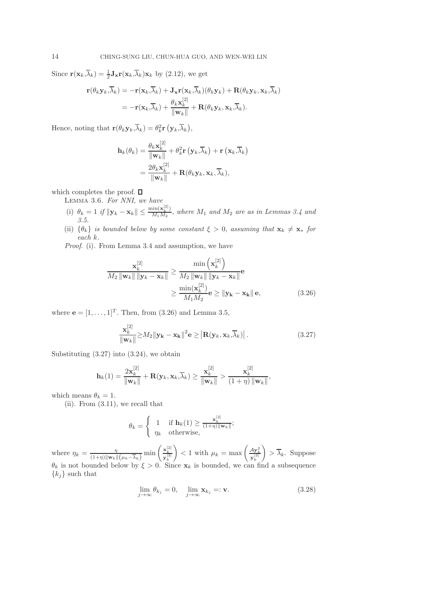Since  $\mathbf{r}(\mathbf{x}_k, \overline{\lambda}_k) = \frac{1}{2} \mathbf{J}_{\mathbf{x}} \mathbf{r}(\mathbf{x}_k, \overline{\lambda}_k) \mathbf{x}_k$  by (2.12), we get

$$
\mathbf{r}(\theta_k \mathbf{y}_k, \overline{\lambda}_k) = -\mathbf{r}(\mathbf{x}_k, \overline{\lambda}_k) + \mathbf{J}_{\mathbf{x}} \mathbf{r}(\mathbf{x}_k, \overline{\lambda}_k) (\theta_k \mathbf{y}_k) + \mathbf{R}(\theta_k \mathbf{y}_k, \mathbf{x}_k, \overline{\lambda}_k)
$$
  
=  $-\mathbf{r}(\mathbf{x}_k, \overline{\lambda}_k) + \frac{\theta_k \mathbf{x}_k^{[2]}}{\|\mathbf{w}_k\|} + \mathbf{R}(\theta_k \mathbf{y}_k, \mathbf{x}_k, \overline{\lambda}_k).$ 

Hence, noting that  $\mathbf{r}(\theta_k \mathbf{y}_k, \overline{\lambda}_k) = \theta_k^2 \mathbf{r} (\mathbf{y}_k, \overline{\lambda}_k),$ 

$$
\mathbf{h}_{k}(\theta_{k}) = \frac{\theta_{k} \mathbf{x}_{k}^{[2]}}{\|\mathbf{w}_{k}\|} + \theta_{k}^{2} \mathbf{r} (\mathbf{y}_{k}, \overline{\lambda}_{k}) + \mathbf{r} (\mathbf{x}_{k}, \overline{\lambda}_{k})
$$

$$
= \frac{2\theta_{k} \mathbf{x}_{k}^{[2]}}{\|\mathbf{w}_{k}\|} + \mathbf{R}(\theta_{k} \mathbf{y}_{k}, \mathbf{x}_{k}, \overline{\lambda}_{k}),
$$

which completes the proof.  $\square$ 

Lemma 3.6. For NNI, we have

- (i)  $\theta_k = 1$  if  $||\mathbf{y}_k \mathbf{x}_k|| \leq \frac{\min(\mathbf{x}_k^{[2]})}{M_1 M_2}$  $\frac{\text{Im}(\mathbf{x}_k)}{M_1 M_2}$ , where  $M_1$  and  $M_2$  are as in Lemmas 3.4 and 3.5.
- (ii)  $\{\theta_k\}$  is bounded below by some constant  $\xi > 0$ , assuming that  $\mathbf{x}_k \neq \mathbf{x}_*$  for each k.

Proof. (i). From Lemma 3.4 and assumption, we have

$$
\frac{\mathbf{x}_{k}^{[2]}}{M_{2} \|\mathbf{w}_{k}\| \|\mathbf{y}_{k} - \mathbf{x}_{k}\|} \geq \frac{\min\left(\mathbf{x}_{k}^{[2]}\right)}{M_{2} \|\mathbf{w}_{k}\| \|\mathbf{y}_{k} - \mathbf{x}_{k}\|} \mathbf{e}
$$
\n
$$
\geq \frac{\min(\mathbf{x}_{k}^{[2]})}{M_{1}M_{2}} \mathbf{e} \geq \|\mathbf{y}_{k} - \mathbf{x}_{k}\| \mathbf{e}, \tag{3.26}
$$

where  $\mathbf{e} = [1, \ldots, 1]^T$ . Then, from (3.26) and Lemma 3.5,

$$
\frac{\mathbf{x}_{k}^{[2]}}{\|\mathbf{w}_{k}\|} \ge M_{2} \|\mathbf{y}_{k} - \mathbf{x}_{k}\|^{2} \mathbf{e} \ge \left| \mathbf{R}(\mathbf{y}_{k}, \mathbf{x}_{k}, \overline{\lambda}_{k}) \right|.
$$
 (3.27)

Substituting (3.27) into (3.24), we obtain

$$
\mathbf{h}_k(1) = \frac{2\mathbf{x}_k^{[2]}}{\|\mathbf{w}_k\|} + \mathbf{R}(\mathbf{y}_k, \mathbf{x}_k, \overline{\lambda}_k) \ge \frac{\mathbf{x}_k^{[2]}}{\|\mathbf{w}_k\|} > \frac{\mathbf{x}_k^{[2]}}{(1+\eta) \|\mathbf{w}_k\|},
$$

which means  $\theta_k = 1$ .

 $(ii)$ . From  $(3.11)$ , we recall that

$$
\theta_k = \begin{cases} 1 & \text{if } \mathbf{h}_k(1) \ge \frac{\mathbf{x}_k^{[2]}}{(1+\eta)\|\mathbf{w}_k\|}; \\ \eta_k & \text{otherwise,} \end{cases}
$$

where  $\eta_k = \frac{\eta}{(1+\eta)\|\mathbf{w}_k\|(\mu_k - \overline{\lambda}_k)} \min\left(\frac{\mathbf{x}_k^{[2]}}{\mathbf{y}_k^{[2]}}\right)$  $\left( 1 \text{ with } \mu_k = \max \left( \frac{A \mathbf{y}_k^2}{\mathbf{y}_k^{[2]}} \right) \right)$  $\setminus$  $> \lambda_k$ . Suppose  $\theta_k$  is not bounded below by  $\xi > 0$ . Since  $\mathbf{x}_k$  is bounded, we can find a subsequence  ${k_i}$  such that

$$
\lim_{j \to \infty} \theta_{k_j} = 0, \quad \lim_{j \to \infty} \mathbf{x}_{k_j} =: \mathbf{v}.
$$
\n(3.28)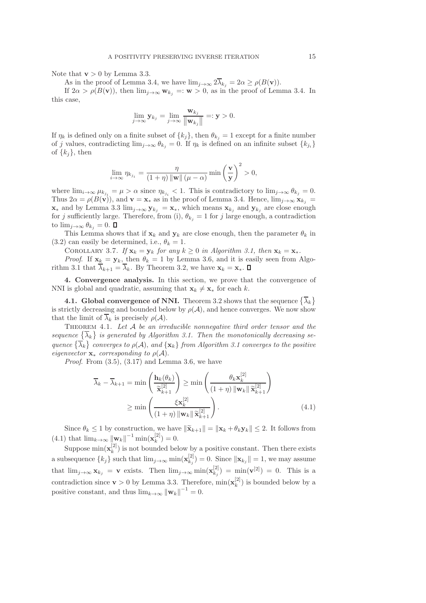Note that  $v > 0$  by Lemma 3.3.

As in the proof of Lemma 3.4, we have  $\lim_{j\to\infty} 2\overline{\lambda}_{k_j} = 2\alpha \ge \rho(B(\mathbf{v}))$ .

If  $2\alpha > \rho(B(\mathbf{v}))$ , then  $\lim_{j\to\infty} \mathbf{w}_{k_j} =: \mathbf{w} > 0$ , as in the proof of Lemma 3.4. In this case,

$$
\lim_{j\to\infty}\mathbf{y}_{k_j}=\lim_{j\to\infty}\frac{\mathbf{w}_{k_j}}{\|\mathbf{w}_{k_j}\|}=:\mathbf{y}>0.
$$

If  $\eta_k$  is defined only on a finite subset of  $\{k_j\}$ , then  $\theta_{k_j} = 1$  except for a finite number of j values, contradicting  $\lim_{j\to\infty} \theta_{k_j} = 0$ . If  $\eta_k$  is defined on an infinite subset  $\{k_{j_i}\}$ of  $\{k_i\}$ , then

$$
\lim_{i \to \infty} \eta_{k_{j_i}} = \frac{\eta}{(1+\eta) \| \mathbf{w} \| (\mu - \alpha)} \min \left(\frac{\mathbf{v}}{\mathbf{y}}\right)^2 > 0,
$$

where  $\lim_{i\to\infty}\mu_{k_{j_i}}=\mu>\alpha$  since  $\eta_{k_{j_i}}<1$ . This is contradictory to  $\lim_{j\to\infty}\theta_{k_j}=0$ . Thus  $2\alpha = \rho(B(\mathbf{v}))$ , and  $\mathbf{v} = \mathbf{x}^*$  as in the proof of Lemma 3.4. Hence,  $\lim_{j\to\infty} \mathbf{x}_{k_j} =$  $\mathbf{x}_*$  and by Lemma 3.3 lim<sub>j→∞</sub>  $\mathbf{y}_{k_i} = \mathbf{x}_*$ , which means  $\mathbf{x}_{k_i}$  and  $\mathbf{y}_{k_i}$  are close enough for j sufficiently large. Therefore, from (i),  $\theta_{k_i} = 1$  for j large enough, a contradiction to  $\lim_{i\to\infty} \theta_{k_i} = 0$ .  $\Box$ 

This Lemma shows that if  $\mathbf{x}_k$  and  $\mathbf{y}_k$  are close enough, then the parameter  $\theta_k$  in (3.2) can easily be determined, i.e.,  $\theta_k = 1$ .

COROLLARY 3.7. If  $\mathbf{x}_k = \mathbf{y}_k$  for any  $k \geq 0$  in Algorithm 3.1, then  $\mathbf{x}_k = \mathbf{x}_*.$ 

*Proof.* If  $\mathbf{x}_k = \mathbf{y}_k$ , then  $\theta_k = 1$  by Lemma 3.6, and it is easily seen from Algorithm 3.1 that  $\overline{\lambda}_{k+1} = \overline{\lambda}_k$ . By Theorem 3.2, we have  $\mathbf{x}_k = \mathbf{x}_*$ .  $\Box$ 

4. Convergence analysis. In this section, we prove that the convergence of NNI is global and quadratic, assuming that  $\mathbf{x}_k \neq \mathbf{x}_*$  for each k.

**4.1. Global convergence of NNI.** Theorem 3.2 shows that the sequence  $\{\overline{\lambda}_k\}$ is strictly decreasing and bounded below by  $\rho(\mathcal{A})$ , and hence converges. We now show that the limit of  $\overline{\lambda}_k$  is precisely  $\rho(\mathcal{A})$ .

THEOREM 4.1. Let  $A$  be an irreducible nonnegative third order tensor and the sequence  $\{\overline{\lambda}_k\}$  is generated by Algorithm 3.1. Then the monotonically decreasing sequence  $\{\overline{\lambda}_k\}$  converges to  $\rho(\mathcal{A})$ , and  $\{\mathbf{x}_k\}$  from Algorithm 3.1 converges to the positive eigenvector  $\mathbf{x}_*$  corresponding to  $\rho(\mathcal{A})$ .

*Proof.* From  $(3.5)$ ,  $(3.17)$  and Lemma 3.6, we have

$$
\overline{\lambda}_{k} - \overline{\lambda}_{k+1} = \min\left(\frac{\mathbf{h}_{k}(\theta_{k})}{\widetilde{\mathbf{x}}_{k+1}^{[2]}}\right) \ge \min\left(\frac{\theta_{k}\mathbf{x}_{k}^{[2]}}{(1+\eta)\|\mathbf{w}_{k}\|\widetilde{\mathbf{x}}_{k+1}^{[2]}}\right)
$$
\n
$$
\ge \min\left(\frac{\xi\mathbf{x}_{k}^{[2]}}{(1+\eta)\|\mathbf{w}_{k}\|\widetilde{\mathbf{x}}_{k+1}^{[2]}}\right). \tag{4.1}
$$

Since  $\theta_k \leq 1$  by construction, we have  $\|\tilde{\mathbf{x}}_{k+1}\| = \|\mathbf{x}_k + \theta_k \mathbf{y}_k\| \leq 2$ . It follows from  $(4.1)$  that  $\lim_{k\to\infty} ||\mathbf{w}_k||^{-1} \min(\mathbf{x}_k^{[2]})$  $\binom{[2]}{k} = 0.$ 

Suppose  $\min(\mathbf{x}_k^{[2]})$  $\binom{[2]}{k}$  is not bounded below by a positive constant. Then there exists a subsequence  $\{k_j\}$  such that  $\lim_{j\to\infty} \min(\mathbf{x}_{k_j}^{[2]})$  $\|k_{k_j}^{(2)}\| = 0.$  Since  $\|\mathbf{x}_{k_j}\| = 1$ , we may assume that  $\lim_{j\to\infty} \mathbf{x}_{k_j} = \mathbf{v}$  exists. Then  $\lim_{j\to\infty} \min(\mathbf{x}_{k_j}^{[2]})$  $\binom{[2]}{k_j} = \min(\mathbf{v}^{[2]}) = 0$ . This is a contradiction since  $\mathbf{v} > 0$  by Lemma 3.3. Therefore,  $\min(\mathbf{x}_{k}^{[2]})$  $\binom{[2]}{k}$  is bounded below by a positive constant, and thus  $\lim_{k\to\infty} ||\mathbf{w}_k||^{-1} = 0$ .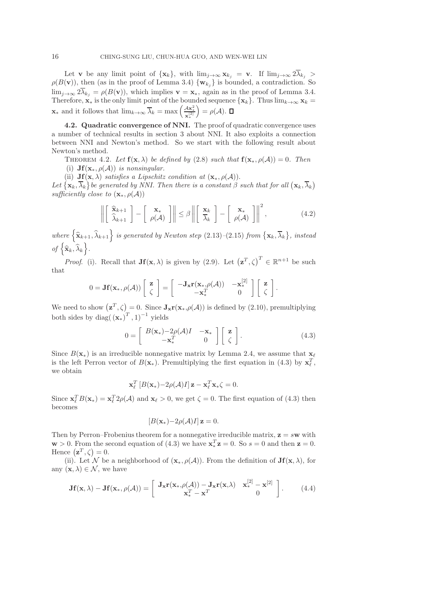Let **v** be any limit point of  $\{x_k\}$ , with  $\lim_{j\to\infty} x_{k_j} = \mathbf{v}$ . If  $\lim_{j\to\infty} 2\overline{\lambda}_{k_j} >$  $\rho(B(\mathbf{v}))$ , then (as in the proof of Lemma 3.4)  $\{\mathbf{w}_{k_j}\}\$ is bounded, a contradiction. So  $\lim_{j\to\infty} 2\overline{\lambda}_{k_j} = \rho(B(\mathbf{v}))$ , which implies  $\mathbf{v} = \mathbf{x}_{*}$ , again as in the proof of Lemma 3.4. Therefore,  $\mathbf{x}_*$  is the only limit point of the bounded sequence  $\{\mathbf{x}_k\}$ . Thus  $\lim_{k\to\infty} \mathbf{x}_k =$  $\mathbf{x}_*$  and it follows that  $\lim_{k\to\infty} \overline{\lambda}_k = \max\left(\frac{\mathcal{A}\mathbf{x}_*^2}{\mathbf{x}_*^{[2]}}\right)$  $\mathbf{x}^{[2]}_*$  $= \rho(\mathcal{A}).$ 

4.2. Quadratic convergence of NNI. The proof of quadratic convergence uses a number of technical results in section 3 about NNI. It also exploits a connection between NNI and Newton's method. So we start with the following result about Newton's method.

THEOREM 4.2. Let  $f(x, \lambda)$  be defined by (2.8) such that  $f(x_*, \rho(\mathcal{A})) = 0$ . Then

(i)  $\mathbf{Jf}(\mathbf{x}_{*}, \rho(\mathcal{A}))$  is nonsingular.

(ii)  $\mathbf{Jf}(\mathbf{x}, \lambda)$  satisfies a Lipschitz condition at  $(\mathbf{x}_*, \rho(\mathcal{A}))$ .

Let  $\{\mathbf{x}_k, \overline{\lambda}_k\}$  be generated by NNI. Then there is a constant  $\beta$  such that for all  $(\mathbf{x}_k, \overline{\lambda}_k)$ sufficiently close to  $(\mathbf{x}_*, \rho(\mathcal{A}))$ 

$$
\left\| \begin{bmatrix} \widehat{\mathbf{x}}_{k+1} \\ \widehat{\lambda}_{k+1} \end{bmatrix} - \begin{bmatrix} \mathbf{x}_* \\ \rho(\mathcal{A}) \end{bmatrix} \right\| \le \beta \left\| \begin{bmatrix} \mathbf{x}_k \\ \widehat{\lambda}_k \end{bmatrix} - \begin{bmatrix} \mathbf{x}_* \\ \rho(\mathcal{A}) \end{bmatrix} \right\|^2, \tag{4.2}
$$

where  $\left\{\widehat{\mathbf{x}}_{k+1}, \widehat{\lambda}_{k+1}\right\}$  is generated by Newton step (2.13)–(2.15) from  $\{\mathbf{x}_k, \overline{\lambda}_k\}$ , instead of  $\left\{ \widehat{\mathbf{x}}_{k},\widehat{\lambda }_{k}\right\}$ .

*Proof.* (i). Recall that  $\mathbf{Jf}(\mathbf{x}, \lambda)$  is given by (2.9). Let  $(\mathbf{z}^T, \zeta)^T \in \mathbb{R}^{n+1}$  be such that

$$
0 = \mathbf{Jf}(\mathbf{x}_{*}, \rho(\mathcal{A})) \left[ \begin{array}{c} \mathbf{z} \\ \zeta \end{array} \right] = \left[ \begin{array}{cc} -\mathbf{J_x r}(\mathbf{x}_{*}, \rho(\mathcal{A})) & -\mathbf{x}_{*}^{[2]} \\ -\mathbf{x}_{*}^{T} & 0 \end{array} \right] \left[ \begin{array}{c} \mathbf{z} \\ \zeta \end{array} \right].
$$

We need to show  $(\mathbf{z}^T, \zeta) = 0$ . Since  $\mathbf{J}_{\mathbf{x}} \mathbf{r}(\mathbf{x}_*, \rho(\mathcal{A}))$  is defined by (2.10), premultiplying both sides by diag $(\left(\mathbf{x}_{*}\right)^{T}, 1)^{-1}$  yields

$$
0 = \begin{bmatrix} B(\mathbf{x}_*) - 2\rho(\mathcal{A})I & -\mathbf{x}_* \\ -\mathbf{x}_*^T & 0 \end{bmatrix} \begin{bmatrix} \mathbf{z} \\ \zeta \end{bmatrix}.
$$
 (4.3)

Since  $B(\mathbf{x}_{*})$  is an irreducible nonnegative matrix by Lemma 2.4, we assume that  $\mathbf{x}_{\ell}$ is the left Perron vector of  $B(\mathbf{x}_*)$ . Premultiplying the first equation in (4.3) by  $\mathbf{x}_{\ell}^T$ , we obtain

$$
\mathbf{x}_{\ell}^{T}\left[B(\mathbf{x}_{*})-2\rho(\mathcal{A})I\right]\mathbf{z}-\mathbf{x}_{\ell}^{T}\mathbf{x}_{*}\zeta=0.
$$

Since  $\mathbf{x}_{\ell}^{T}B(\mathbf{x}_{*}) = \mathbf{x}_{\ell}^{T}2\rho(\mathcal{A})$  and  $\mathbf{x}_{\ell} > 0$ , we get  $\zeta = 0$ . The first equation of (4.3) then becomes

$$
[B(\mathbf{x}_*)-2\rho(\mathcal{A})I]\mathbf{z}=0.
$$

Then by Perron–Frobenius theorem for a nonnegative irreducible matrix,  $z = sw$  with  $\mathbf{w} > 0$ . From the second equation of (4.3) we have  $\mathbf{x}_*^T \mathbf{z} = 0$ . So  $s = 0$  and then  $\mathbf{z} = 0$ . Hence  $(\mathbf{z}^T, \zeta) = 0$ .

(ii). Let N be a neighborhood of  $(\mathbf{x}_*, \rho(\mathcal{A}))$ . From the definition of  $\mathbf{Jf}(\mathbf{x}, \lambda)$ , for any  $(\mathbf{x}, \lambda) \in \mathcal{N}$ , we have

$$
\mathbf{Jf}(\mathbf{x},\lambda) - \mathbf{Jf}(\mathbf{x}_{*},\rho(\mathcal{A})) = \left[ \begin{array}{cc} \mathbf{J_x r}(\mathbf{x}_{*},\rho(\mathcal{A})) - \mathbf{J_x r}(\mathbf{x},\lambda) & \mathbf{x}_{*}^{[2]} - \mathbf{x}^{[2]} \\ \mathbf{x}_{*}^{T} - \mathbf{x}^{T} & 0 \end{array} \right].
$$
 (4.4)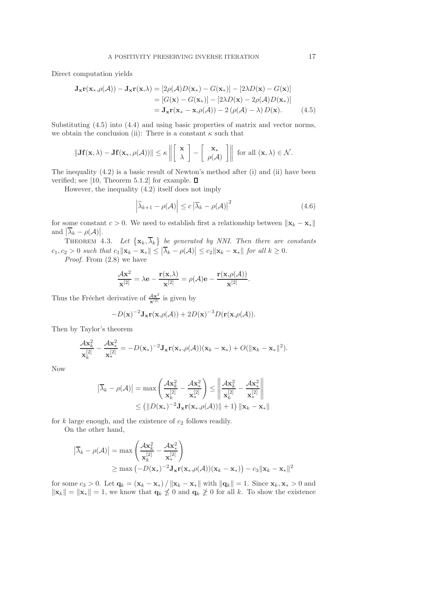Direct computation yields

$$
\mathbf{J}_{\mathbf{x}}\mathbf{r}(\mathbf{x}_{*},\rho(\mathcal{A})) - \mathbf{J}_{\mathbf{x}}\mathbf{r}(\mathbf{x},\lambda) = \left[2\rho(\mathcal{A})D(\mathbf{x}_{*}) - G(\mathbf{x}_{*})\right] - \left[2\lambda D(\mathbf{x}) - G(\mathbf{x})\right]
$$

$$
= \left[G(\mathbf{x}) - G(\mathbf{x}_{*})\right] - \left[2\lambda D(\mathbf{x}) - 2\rho(\mathcal{A})D(\mathbf{x}_{*})\right]
$$

$$
= \mathbf{J}_{\mathbf{x}}\mathbf{r}(\mathbf{x}_{*} - \mathbf{x},\rho(\mathcal{A})) - 2\left(\rho(\mathcal{A}) - \lambda\right)D(\mathbf{x}). \tag{4.5}
$$

Substituting (4.5) into (4.4) and using basic properties of matrix and vector norms, we obtain the conclusion (ii): There is a constant  $\kappa$  such that

$$
\|\mathbf{Jf}(\mathbf{x},\lambda) - \mathbf{Jf}(\mathbf{x}_*,\rho(\mathcal{A}))\| \leq \kappa \left\| \begin{bmatrix} \mathbf{x} \\ \lambda \end{bmatrix} - \begin{bmatrix} \mathbf{x}_* \\ \rho(\mathcal{A}) \end{bmatrix} \right\| \text{ for all } (\mathbf{x},\lambda) \in \mathcal{N}.
$$

The inequality (4.2) is a basic result of Newton's method after (i) and (ii) have been verified; see [10, Theorem 5.1.2] for example.  $\square$ 

However, the inequality (4.2) itself does not imply

$$
\left|\widehat{\lambda}_{k+1} - \rho(\mathcal{A})\right| \le c \left|\overline{\lambda}_k - \rho(\mathcal{A})\right|^2 \tag{4.6}
$$

for some constant  $c > 0$ . We need to establish first a relationship between  $\|\mathbf{x}_k - \mathbf{x}_*\|$ and  $\left| \overline{\lambda}_k - \rho(\mathcal{A}) \right|$ .

THEOREM 4.3. Let  $\{\mathbf{x}_k, \overline{\lambda}_k\}$  be generated by NNI. Then there are constants  $c_1, c_2 > 0$  such that  $c_1 \|\mathbf{x}_k - \mathbf{x}_*\| \leq |\overline{\lambda}_k - \rho(\mathcal{A})| \leq c_2 \|\mathbf{x}_k - \mathbf{x}_*\|$  for all  $k \geq 0$ .

Proof. From  $(2.8)$  we have

$$
\frac{\mathcal{A}\mathbf{x}^2}{\mathbf{x}^{[2]}} = \lambda \mathbf{e} - \frac{\mathbf{r}(\mathbf{x},\lambda)}{\mathbf{x}^{[2]}} = \rho(\mathcal{A})\mathbf{e} - \frac{\mathbf{r}(\mathbf{x},\rho(\mathcal{A}))}{\mathbf{x}^{[2]}}.
$$

Thus the Fréchet derivative of  $\frac{Ax^2}{x^{[2]}}$  is given by

$$
-D(\mathbf{x})^{-2} \mathbf{J}_\mathbf{x} \mathbf{r}(\mathbf{x}, \rho(\mathcal{A})) + 2D(\mathbf{x})^{-3} D(\mathbf{r}(\mathbf{x}, \rho(\mathcal{A})).
$$

Then by Taylor's theorem

$$
\frac{\mathcal{A}\mathbf{x}_{k}^{2}}{\mathbf{x}_{k}^{[2]}}-\frac{\mathcal{A}\mathbf{x}_{*}^{2}}{\mathbf{x}_{*}^{[2]}}=-D(\mathbf{x}_{*})^{-2}\mathbf{J}_{\mathbf{x}}\mathbf{r}(\mathbf{x}_{*},\rho(\mathcal{A}))(\mathbf{x}_{k}-\mathbf{x}_{*})+O(\Vert\mathbf{x}_{k}-\mathbf{x}_{*}\Vert^{2}).
$$

Now

$$
|\overline{\lambda}_k - \rho(\mathcal{A})| = \max\left(\frac{\mathcal{A}\mathbf{x}_k^2}{\mathbf{x}_k^{[2]}} - \frac{\mathcal{A}\mathbf{x}_*^2}{\mathbf{x}_*^{[2]}}\right) \le \left\|\frac{\mathcal{A}\mathbf{x}_k^2}{\mathbf{x}_k^{[2]}} - \frac{\mathcal{A}\mathbf{x}_*^2}{\mathbf{x}_*^{[2]}}\right\|
$$
  

$$
\le \left(\|D(\mathbf{x}_*)^{-2}\mathbf{J}_{\mathbf{x}}\mathbf{r}(\mathbf{x}_*, \rho(\mathcal{A}))\| + 1\right) \|\mathbf{x}_k - \mathbf{x}_*\|
$$

for  $k$  large enough, and the existence of  $c_2$  follows readily.

On the other hand,

$$
\begin{aligned} \left| \overline{\lambda}_k - \rho(\mathcal{A}) \right| &= \max \left( \frac{\mathcal{A} \mathbf{x}_k^2}{\mathbf{x}_k^{[2]}} - \frac{\mathcal{A} \mathbf{x}_*^2}{\mathbf{x}_*^{[2]}} \right) \\ &\ge \max \left( -D(\mathbf{x}_*)^{-2} \mathbf{J}_\mathbf{x} \mathbf{r}(\mathbf{x}_*, \rho(\mathcal{A}))(\mathbf{x}_k - \mathbf{x}_*) \right) - c_3 \|\mathbf{x}_k - \mathbf{x}_*\|^2 \end{aligned}
$$

for some  $c_3 > 0$ . Let  $\mathbf{q}_k = (\mathbf{x}_k - \mathbf{x}_*) / ||\mathbf{x}_k - \mathbf{x}_*||$  with  $||\mathbf{q}_k|| = 1$ . Since  $\mathbf{x}_k, \mathbf{x}_* > 0$  and  $\|\mathbf{x}_k\| = \|\mathbf{x}_*\| = 1$ , we know that  $\mathbf{q}_k \not\leq 0$  and  $\mathbf{q}_k \not\geq 0$  for all k. To show the existence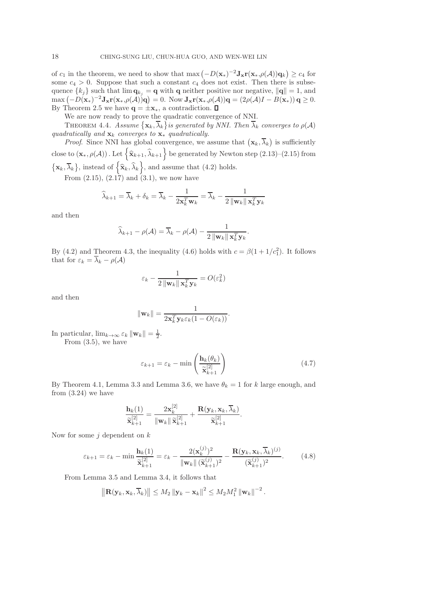of  $c_1$  in the theorem, we need to show that  $\max(-D(\mathbf{x}_*)^{-2}J_{\mathbf{x}}\mathbf{r}(\mathbf{x}_*,\rho(\mathcal{A}))\mathbf{q}_k) \ge c_4$  for some  $c_4 > 0$ . Suppose that such a constant  $c_4$  does not exist. Then there is subsequence  $\{k_j\}$  such that  $\lim \mathbf{q}_{k_j} = \mathbf{q}$  with  $\mathbf{q}$  neither positive nor negative,  $\|\mathbf{q}\| = 1$ , and  $\max(-D(\mathbf{x}_*)^{-2}\mathbf{J}_{\mathbf{x}}\mathbf{r}(\mathbf{x}_*,\rho(\mathcal{A}))\mathbf{q})=0.$  Now  $\mathbf{J}_{\mathbf{x}}\mathbf{r}(\mathbf{x}_*,\rho(\mathcal{A}))\mathbf{q}=(2\rho(\mathcal{A})I-B(\mathbf{x}_*))\mathbf{q}\geq 0.$ By Theorem 2.5 we have  $\mathbf{q} = \pm \mathbf{x}_*,$  a contradiction.  $\Box$ 

We are now ready to prove the quadratic convergence of NNI.

THEOREM 4.4. Assume  $\{{\bf x}_k,\overline{\lambda}_k\}$  is generated by NNI. Then  $\overline{\lambda}_k$  converges to  $\rho(\mathcal{A})$ quadratically and  $\mathbf{x}_k$  converges to  $\mathbf{x}_*$  quadratically.

*Proof.* Since NNI has global convergence, we assume that  $(\mathbf{x}_k, \overline{\lambda}_k)$  is sufficiently close to  $(\mathbf{x}_*, \rho(\mathcal{A}))$  . Let  $\left\{\widehat{\mathbf{x}}_{k+1}, \widehat{\lambda}_{k+1}\right\}$  be generated by Newton step  $(2.13)$ – $(2.15)$  from  $\{\mathbf x_k, \overline\lambda_k\}$ , instead of  $\{\widehat{\mathbf x}_k, \widehat{\lambda}_k\}$ , and assume that (4.2) holds.

From  $(2.15)$ ,  $(2.17)$  and  $(3.1)$ , we now have

$$
\widehat{\lambda}_{k+1} = \overline{\lambda}_k + \delta_k = \overline{\lambda}_k - \frac{1}{2\mathbf{x}_k^T \mathbf{w}_k} = \overline{\lambda}_k - \frac{1}{2\left\|\mathbf{w}_k\right\| \mathbf{x}_k^T \mathbf{y}_k}
$$

and then

$$
\widehat{\lambda}_{k+1} - \rho(\mathcal{A}) = \overline{\lambda}_k - \rho(\mathcal{A}) - \frac{1}{2 \left\| \mathbf{w}_k \right\| \mathbf{x}_k^T \mathbf{y}_k}.
$$

By (4.2) and Theorem 4.3, the inequality (4.6) holds with  $c = \beta(1 + 1/c_1^2)$ . It follows that for  $\varepsilon_k = \overline{\lambda}_k - \rho(\mathcal{A})$ 

$$
\varepsilon_k - \frac{1}{2\left\|\mathbf{w}_k\right\| \mathbf{x}_k^T \mathbf{y}_k} = O(\varepsilon_k^2)
$$

and then

$$
\|\mathbf{w}_k\| = \frac{1}{2\mathbf{x}_k^T \mathbf{y}_k \varepsilon_k (1 - O(\varepsilon_k))}.
$$

In particular,  $\lim_{k\to\infty} \varepsilon_k ||\mathbf{w}_k|| = \frac{1}{2}$ . From (3.5), we have

$$
\varepsilon_{k+1} = \varepsilon_k - \min\left(\frac{\mathbf{h}_k(\theta_k)}{\widetilde{\mathbf{x}}_{k+1}^{[2]}}\right) \tag{4.7}
$$

By Theorem 4.1, Lemma 3.3 and Lemma 3.6, we have  $\theta_k = 1$  for k large enough, and from (3.24) we have

$$
\frac{\mathbf{h}_k(1)}{\widetilde{\mathbf{x}}_{k+1}^{[2]}} = \frac{2\mathbf{x}_k^{[2]}}{\|\mathbf{w}_k\| \widetilde{\mathbf{x}}_{k+1}^{[2]}} + \frac{\mathbf{R}(\mathbf{y}_k,\mathbf{x}_k,\overline{\lambda}_k)}{\widetilde{\mathbf{x}}_{k+1}^{[2]}}.
$$

Now for some  $j$  dependent on  $k$ 

$$
\varepsilon_{k+1} = \varepsilon_k - \min \frac{\mathbf{h}_k(1)}{\widetilde{\mathbf{x}}_{k+1}^{[2]}} = \varepsilon_k - \frac{2(\mathbf{x}_k^{(j)})^2}{\|\mathbf{w}_k\| \, (\widetilde{\mathbf{x}}_{k+1}^{(j)})^2} - \frac{\mathbf{R}(\mathbf{y}_k, \mathbf{x}_k, \overline{\lambda}_k)^{(j)}}{(\widetilde{\mathbf{x}}_{k+1}^{(j)})^2}.
$$
(4.8)

From Lemma 3.5 and Lemma 3.4, it follows that

$$
\left\|\mathbf{R}(\mathbf{y}_k,\mathbf{x}_k,\overline{\lambda}_k)\right\| \leq M_2 \left\|\mathbf{y}_k-\mathbf{x}_k\right\|^2 \leq M_2 M_1^2 \left\|\mathbf{w}_k\right\|^{-2}.
$$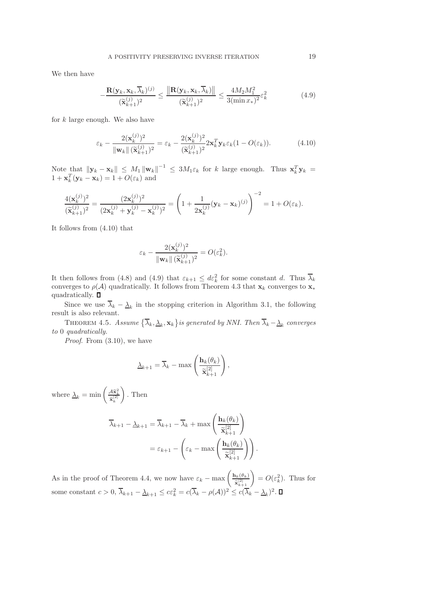We then have

$$
-\frac{\mathbf{R}(\mathbf{y}_k, \mathbf{x}_k, \overline{\lambda}_k)^{(j)}}{(\widetilde{\mathbf{x}}_{k+1}^{(j)})^2} \le \frac{\|\mathbf{R}(\mathbf{y}_k, \mathbf{x}_k, \overline{\lambda}_k)\|}{(\widetilde{\mathbf{x}}_{k+1}^{(j)})^2} \le \frac{4M_2M_1^2}{3(\min x_*)^2} \varepsilon_k^2
$$
(4.9)

for  $k$  large enough. We also have

$$
\varepsilon_k - \frac{2(\mathbf{x}_k^{(j)})^2}{\|\mathbf{w}_k\| \left(\widetilde{\mathbf{x}}_{k+1}^{(j)}\right)^2} = \varepsilon_k - \frac{2(\mathbf{x}_k^{(j)})^2}{\left(\widetilde{\mathbf{x}}_{k+1}^{(j)}\right)^2} 2\mathbf{x}_k^T \mathbf{y}_k \varepsilon_k (1 - O(\varepsilon_k)).
$$
 (4.10)

Note that  $||\mathbf{y}_k - \mathbf{x}_k|| \leq M_1 ||\mathbf{w}_k||^{-1} \leq 3M_1 \varepsilon_k$  for k large enough. Thus  $\mathbf{x}_k^T \mathbf{y}_k =$  $1 + \mathbf{x}_k^T(\mathbf{y}_k - \mathbf{x}_k) = 1 + O(\varepsilon_k)$  and

$$
\frac{4(\mathbf{x}_k^{(j)})^2}{(\widetilde{\mathbf{x}}_{k+1}^{(j)})^2} = \frac{(2\mathbf{x}_k^{(j)})^2}{(2\mathbf{x}_k^{(j)} + \mathbf{y}_k^{(j)} - \mathbf{x}_k^{(j)})^2} = \left(1 + \frac{1}{2\mathbf{x}_k^{(j)}}(\mathbf{y}_k - \mathbf{x}_k)^{(j)}\right)^{-2} = 1 + O(\varepsilon_k).
$$

It follows from (4.10) that

$$
\varepsilon_k - \frac{2(\mathbf{x}_k^{(j)})^2}{\|\mathbf{w}_k\| \, (\widetilde{\mathbf{x}}_{k+1}^{(j)})^2} = O(\varepsilon_k^2).
$$

It then follows from (4.8) and (4.9) that  $\varepsilon_{k+1} \leq d\varepsilon_k^2$  for some constant d. Thus  $\overline{\lambda}_k$ converges to  $\rho(\mathcal{A})$  quadratically. It follows from Theorem 4.3 that  $\mathbf{x}_k$  converges to  $\mathbf{x}_*$ quadratically.  $\square$ 

Since we use  $\lambda_k - \underline{\lambda}_k$  in the stopping criterion in Algorithm 3.1, the following result is also relevant.

THEOREM 4.5. Assume  $\{\overline{\lambda}_k, \underline{\lambda}_k, \mathbf{x}_k\}$  is generated by NNI. Then  $\overline{\lambda}_k - \underline{\lambda}_k$  converges to 0 quadratically.

Proof. From  $(3.10)$ , we have

$$
\underline{\lambda}_{k+1} = \overline{\lambda}_k - \max\left(\frac{\mathbf{h}_k(\theta_k)}{\widetilde{\mathbf{x}}_{k+1}^{[2]}}\right),\,
$$

where  $\Delta_k = \min \left( \frac{\mathcal{A} \tilde{\mathbf{x}}_k^2}{\tilde{\mathbf{x}}_k^{[2]}} \right)$  $\setminus$ . Then

$$
\overline{\lambda}_{k+1} - \underline{\lambda}_{k+1} = \overline{\lambda}_{k+1} - \overline{\lambda}_k + \max\left(\frac{\mathbf{h}_k(\theta_k)}{\widetilde{\mathbf{x}}_{k+1}^{[2]}}\right)
$$

$$
= \varepsilon_{k+1} - \left(\varepsilon_k - \max\left(\frac{\mathbf{h}_k(\theta_k)}{\widetilde{\mathbf{x}}_{k+1}^{[2]}}\right)\right).
$$

As in the proof of Theorem 4.4, we now have  $\varepsilon_k - \max\left(\frac{\mathbf{h}_k(\theta_k)}{\tilde{\mathbf{h}}^{2}}\right)$  $\frac{\partial h_k(\theta_k)}{\partial \tilde{\mathbf{x}}_{k+1}^{[2]}}$  =  $O(\varepsilon_k^2)$ . Thus for some constant  $c > 0$ ,  $\overline{\lambda}_{k+1} - \underline{\lambda}_{k+1} \leq c \varepsilon_k^2 = c(\overline{\lambda}_k - \rho(\mathcal{A}))^2 \leq c(\overline{\lambda}_k - \underline{\lambda}_k)^2$ .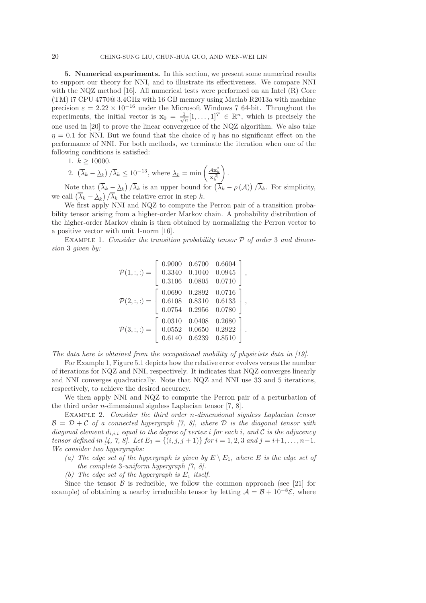5. Numerical experiments. In this section, we present some numerical results to support our theory for NNI, and to illustrate its effectiveness. We compare NNI with the NQZ method [16]. All numerical tests were performed on an Intel (R) Core (TM) i7 CPU 4770@ 3.4GHz with 16 GB memory using Matlab R2013a with machine precision  $\varepsilon = 2.22 \times 10^{-16}$  under the Microsoft Windows 7 64-bit. Throughout the experiments, the initial vector is  $\mathbf{x}_0 = \frac{1}{\sqrt{n}} [1, \dots, 1]^T \in \mathbb{R}^n$ , which is precisely the one used in [20] to prove the linear convergence of the NQZ algorithm. We also take  $\eta = 0.1$  for NNI. But we found that the choice of  $\eta$  has no significant effect on the performance of NNI. For both methods, we terminate the iteration when one of the following conditions is satisfied:

1. 
$$
k \ge 10000
$$
.

2. 
$$
(\overline{\lambda}_k - \underline{\lambda}_k) / \overline{\lambda}_k \le 10^{-13}
$$
, where  $\underline{\lambda}_k = \min \left( \frac{4\mathbf{x}_k^2}{\mathbf{x}_k^{[2]}} \right)$ .

Note that  $(\overline{\lambda}_k - \underline{\lambda}_k) / \overline{\lambda}_k$  is an upper bound for  $(\overline{\lambda}_k - \rho(\mathcal{A})) / \overline{\lambda}_k$ . For simplicity, we call  $(\overline{\lambda}_k - \underline{\lambda}_k)/\overline{\lambda}_k$  the relative error in step k.

We first apply NNI and NQZ to compute the Perron pair of a transition probability tensor arising from a higher-order Markov chain. A probability distribution of the higher-order Markov chain is then obtained by normalizing the Perron vector to a positive vector with unit 1-norm [16].

EXAMPLE 1. Consider the transition probability tensor  $P$  of order 3 and dimension 3 given by:

$$
\mathcal{P}(1,:,:)=\left[\begin{array}{cccc} 0.9000 & 0.6700 & 0.6604 \\ 0.3340 & 0.1040 & 0.0945 \\ 0.3106 & 0.0805 & 0.0710 \end{array}\right],
$$
  

$$
\mathcal{P}(2,:,:)=\left[\begin{array}{cccc} 0.0690 & 0.2892 & 0.0716 \\ 0.6108 & 0.8310 & 0.6133 \\ 0.0754 & 0.2956 & 0.0780 \end{array}\right],
$$
  

$$
\mathcal{P}(3,:,:)=\left[\begin{array}{cccc} 0.0310 & 0.0408 & 0.2680 \\ 0.0552 & 0.0650 & 0.2922 \\ 0.6140 & 0.6239 & 0.8510 \end{array}\right].
$$

The data here is obtained from the occupational mobility of physicists data in [19].

For Example 1, Figure 5.1 depicts how the relative error evolves versus the number of iterations for NQZ and NNI, respectively. It indicates that NQZ converges linearly and NNI converges quadratically. Note that NQZ and NNI use 33 and 5 iterations, respectively, to achieve the desired accuracy.

We then apply NNI and NQZ to compute the Perron pair of a perturbation of the third order *n*-dimensional signless Laplacian tensor  $[7, 8]$ .

Example 2. Consider the third order n-dimensional signless Laplacian tensor  $\mathcal{B} = \mathcal{D} + \mathcal{C}$  of a connected hypergraph [7, 8], where  $\mathcal{D}$  is the diagonal tensor with diagonal element  $d_{i,i,i}$  equal to the degree of vertex i for each i, and C is the adjacency tensor defined in [4, 7, 8]. Let  $E_1 = \{(i, j, j + 1)\}$  for  $i = 1, 2, 3$  and  $j = i+1, \ldots, n-1$ . We consider two hypergraphs:

- (a) The edge set of the hypergraph is given by  $E \setminus E_1$ , where E is the edge set of the complete 3-uniform hypergraph [7, 8].
- (b) The edge set of the hypergraph is  $E_1$  itself.

Since the tensor  $\beta$  is reducible, we follow the common approach (see [21] for example) of obtaining a nearby irreducible tensor by letting  $A = B + 10^{-8} \mathcal{E}$ , where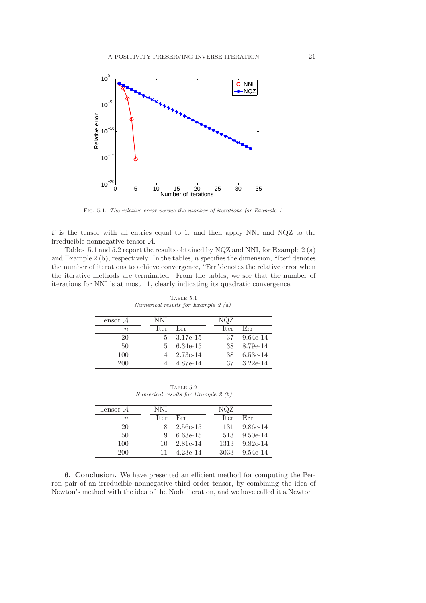

Fig. 5.1. *The relative error versus the number of iterations for Example 1.*

 $\mathcal E$  is the tensor with all entries equal to 1, and then apply NNI and NQZ to the irreducible nonnegative tensor A.

Tables 5.1 and 5.2 report the results obtained by NQZ and NNI, for Example 2 (a) and Example 2 (b), respectively. In the tables,  $n$  specifies the dimension, "Iter" denotes the number of iterations to achieve convergence, "Err"denotes the relative error when the iterative methods are terminated. From the tables, we see that the number of iterations for NNI is at most 11, clearly indicating its quadratic convergence.

| TABLE 5.1                             |  |  |  |  |  |  |  |
|---------------------------------------|--|--|--|--|--|--|--|
| Numerical results for Example 2 $(a)$ |  |  |  |  |  |  |  |

| Tensor $\mathcal A$ | NNI  |          | NQZ  |            |
|---------------------|------|----------|------|------------|
| $\, n$              | Iter | Err      | Iter | Err        |
| 20                  | 5.   | 3.17e-15 | 37   | $9.64e-14$ |
| 50                  | 5.   | 6.34e-15 | 38   | 8.79e-14   |
| 100                 |      | 2.73e-14 | 38   | $6.53e-14$ |
| 200                 |      | 4.87e-14 | 37   | $3.22e-14$ |

TABLE  $5.2$ *Numerical results for Example 2 (b)*

| Tensor $A$ | NNI  |            | NQZ  |            |
|------------|------|------------|------|------------|
| $n_{\rm}$  | Iter | Err        | Iter | Err        |
| 20         |      | 2.56e-15   | 131  | $9.86e-14$ |
| 50         | 9    | $6.63e-15$ | 513  | $9.50e-14$ |
| 100        | 10   | 2.81e-14   | 1313 | $9.82e-14$ |
| <b>200</b> |      | $4.23e-14$ | 3033 | $9.54e-14$ |

6. Conclusion. We have presented an efficient method for computing the Perron pair of an irreducible nonnegative third order tensor, by combining the idea of Newton's method with the idea of the Noda iteration, and we have called it a Newton–